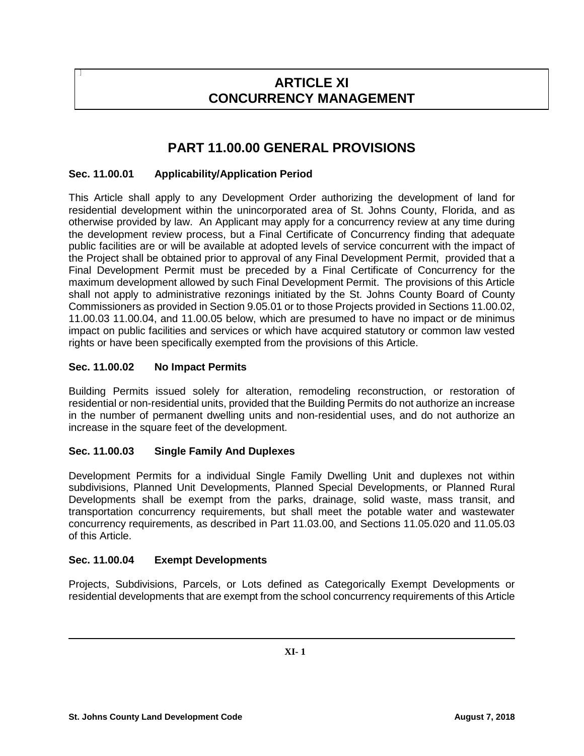# **ARTICLE XI CONCURRENCY MANAGEMENT**

# **PART 11.00.00 GENERAL PROVISIONS**

# **Sec. 11.00.01 Applicability/Application Period**

This Article shall apply to any Development Order authorizing the development of land for residential development within the unincorporated area of St. Johns County, Florida, and as otherwise provided by law. An Applicant may apply for a concurrency review at any time during the development review process, but a Final Certificate of Concurrency finding that adequate public facilities are or will be available at adopted levels of service concurrent with the impact of the Project shall be obtained prior to approval of any Final Development Permit, provided that a Final Development Permit must be preceded by a Final Certificate of Concurrency for the maximum development allowed by such Final Development Permit. The provisions of this Article shall not apply to administrative rezonings initiated by the St. Johns County Board of County Commissioners as provided in Section 9.05.01 or to those Projects provided in Sections 11.00.02, 11.00.03 11.00.04, and 11.00.05 below, which are presumed to have no impact or de minimus impact on public facilities and services or which have acquired statutory or common law vested rights or have been specifically exempted from the provisions of this Article.

# **Sec. 11.00.02 No Impact Permits**

Building Permits issued solely for alteration, remodeling reconstruction, or restoration of residential or non-residential units, provided that the Building Permits do not authorize an increase in the number of permanent dwelling units and non-residential uses, and do not authorize an increase in the square feet of the development.

# **Sec. 11.00.03 Single Family And Duplexes**

Development Permits for a individual Single Family Dwelling Unit and duplexes not within subdivisions, Planned Unit Developments, Planned Special Developments, or Planned Rural Developments shall be exempt from the parks, drainage, solid waste, mass transit, and transportation concurrency requirements, but shall meet the potable water and wastewater concurrency requirements, as described in Part 11.03.00, and Sections 11.05.020 and 11.05.03 of this Article.

#### **Sec. 11.00.04 Exempt Developments**

Projects, Subdivisions, Parcels, or Lots defined as Categorically Exempt Developments or residential developments that are exempt from the school concurrency requirements of this Article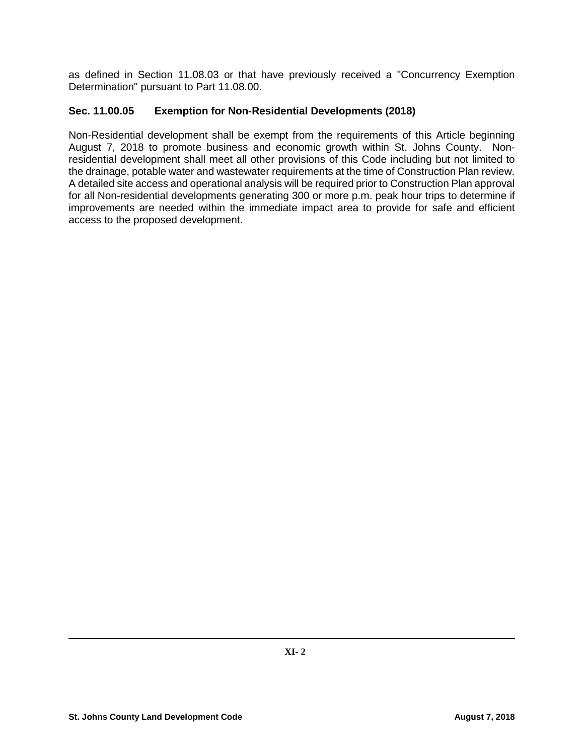as defined in Section 11.08.03 or that have previously received a "Concurrency Exemption Determination" pursuant to Part 11.08.00.

## **Sec. 11.00.05 Exemption for Non-Residential Developments (2018)**

Non-Residential development shall be exempt from the requirements of this Article beginning August 7, 2018 to promote business and economic growth within St. Johns County. Nonresidential development shall meet all other provisions of this Code including but not limited to the drainage, potable water and wastewater requirements at the time of Construction Plan review. A detailed site access and operational analysis will be required prior to Construction Plan approval for all Non-residential developments generating 300 or more p.m. peak hour trips to determine if improvements are needed within the immediate impact area to provide for safe and efficient access to the proposed development.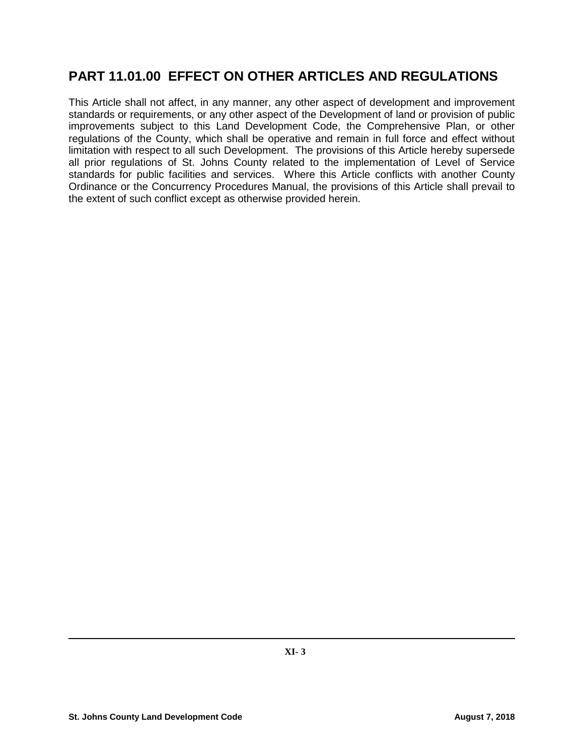# **PART 11.01.00 EFFECT ON OTHER ARTICLES AND REGULATIONS**

This Article shall not affect, in any manner, any other aspect of development and improvement standards or requirements, or any other aspect of the Development of land or provision of public improvements subject to this Land Development Code, the Comprehensive Plan, or other regulations of the County, which shall be operative and remain in full force and effect without limitation with respect to all such Development. The provisions of this Article hereby supersede all prior regulations of St. Johns County related to the implementation of Level of Service standards for public facilities and services. Where this Article conflicts with another County Ordinance or the Concurrency Procedures Manual, the provisions of this Article shall prevail to the extent of such conflict except as otherwise provided herein.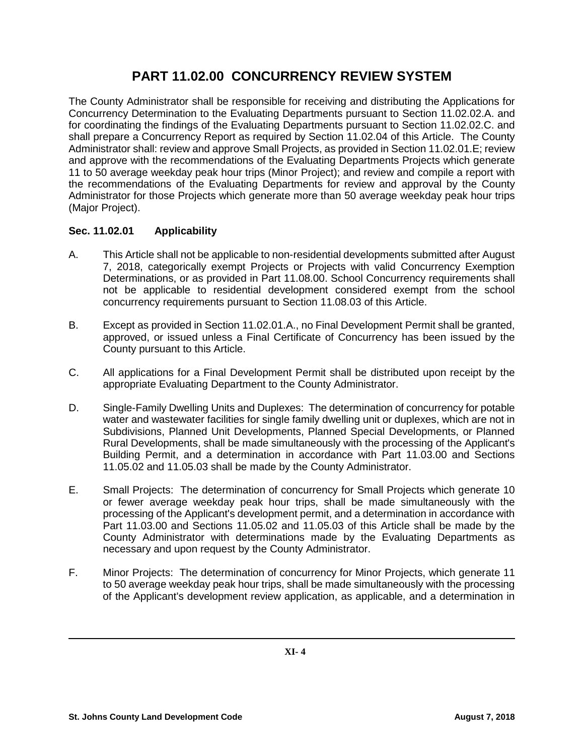# **PART 11.02.00 CONCURRENCY REVIEW SYSTEM**

The County Administrator shall be responsible for receiving and distributing the Applications for Concurrency Determination to the Evaluating Departments pursuant to Section 11.02.02.A. and for coordinating the findings of the Evaluating Departments pursuant to Section 11.02.02.C. and shall prepare a Concurrency Report as required by Section 11.02.04 of this Article. The County Administrator shall: review and approve Small Projects, as provided in Section 11.02.01.E; review and approve with the recommendations of the Evaluating Departments Projects which generate 11 to 50 average weekday peak hour trips (Minor Project); and review and compile a report with the recommendations of the Evaluating Departments for review and approval by the County Administrator for those Projects which generate more than 50 average weekday peak hour trips (Major Project).

# **Sec. 11.02.01 Applicability**

- A. This Article shall not be applicable to non-residential developments submitted after August 7, 2018, categorically exempt Projects or Projects with valid Concurrency Exemption Determinations, or as provided in Part 11.08.00. School Concurrency requirements shall not be applicable to residential development considered exempt from the school concurrency requirements pursuant to Section 11.08.03 of this Article.
- B. Except as provided in Section 11.02.01.A., no Final Development Permit shall be granted, approved, or issued unless a Final Certificate of Concurrency has been issued by the County pursuant to this Article.
- C. All applications for a Final Development Permit shall be distributed upon receipt by the appropriate Evaluating Department to the County Administrator.
- D. Single-Family Dwelling Units and Duplexes: The determination of concurrency for potable water and wastewater facilities for single family dwelling unit or duplexes, which are not in Subdivisions, Planned Unit Developments, Planned Special Developments, or Planned Rural Developments, shall be made simultaneously with the processing of the Applicant's Building Permit, and a determination in accordance with Part 11.03.00 and Sections 11.05.02 and 11.05.03 shall be made by the County Administrator.
- E. Small Projects: The determination of concurrency for Small Projects which generate 10 or fewer average weekday peak hour trips, shall be made simultaneously with the processing of the Applicant's development permit, and a determination in accordance with Part 11.03.00 and Sections 11.05.02 and 11.05.03 of this Article shall be made by the County Administrator with determinations made by the Evaluating Departments as necessary and upon request by the County Administrator.
- F. Minor Projects: The determination of concurrency for Minor Projects, which generate 11 to 50 average weekday peak hour trips, shall be made simultaneously with the processing of the Applicant's development review application, as applicable, and a determination in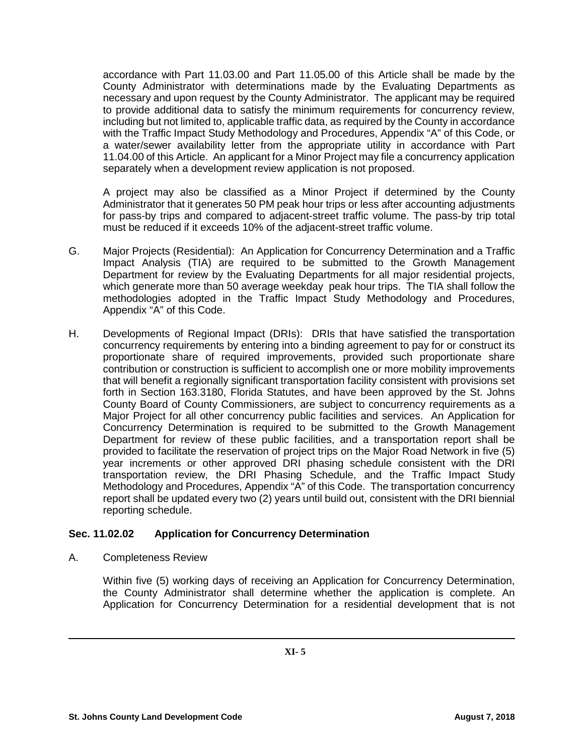accordance with Part 11.03.00 and Part 11.05.00 of this Article shall be made by the County Administrator with determinations made by the Evaluating Departments as necessary and upon request by the County Administrator. The applicant may be required to provide additional data to satisfy the minimum requirements for concurrency review, including but not limited to, applicable traffic data, as required by the County in accordance with the Traffic Impact Study Methodology and Procedures, Appendix "A" of this Code, or a water/sewer availability letter from the appropriate utility in accordance with Part 11.04.00 of this Article. An applicant for a Minor Project may file a concurrency application separately when a development review application is not proposed.

A project may also be classified as a Minor Project if determined by the County Administrator that it generates 50 PM peak hour trips or less after accounting adjustments for pass-by trips and compared to adjacent-street traffic volume. The pass-by trip total must be reduced if it exceeds 10% of the adjacent-street traffic volume.

- G. Major Projects (Residential): An Application for Concurrency Determination and a Traffic Impact Analysis (TIA) are required to be submitted to the Growth Management Department for review by the Evaluating Departments for all major residential projects, which generate more than 50 average weekday peak hour trips. The TIA shall follow the methodologies adopted in the Traffic Impact Study Methodology and Procedures, Appendix "A" of this Code.
- H. Developments of Regional Impact (DRIs): DRIs that have satisfied the transportation concurrency requirements by entering into a binding agreement to pay for or construct its proportionate share of required improvements, provided such proportionate share contribution or construction is sufficient to accomplish one or more mobility improvements that will benefit a regionally significant transportation facility consistent with provisions set forth in Section 163.3180, Florida Statutes, and have been approved by the St. Johns County Board of County Commissioners, are subject to concurrency requirements as a Major Project for all other concurrency public facilities and services. An Application for Concurrency Determination is required to be submitted to the Growth Management Department for review of these public facilities, and a transportation report shall be provided to facilitate the reservation of project trips on the Major Road Network in five (5) year increments or other approved DRI phasing schedule consistent with the DRI transportation review, the DRI Phasing Schedule, and the Traffic Impact Study Methodology and Procedures, Appendix "A" of this Code. The transportation concurrency report shall be updated every two (2) years until build out, consistent with the DRI biennial reporting schedule.

# **Sec. 11.02.02 Application for Concurrency Determination**

A. Completeness Review

Within five (5) working days of receiving an Application for Concurrency Determination, the County Administrator shall determine whether the application is complete. An Application for Concurrency Determination for a residential development that is not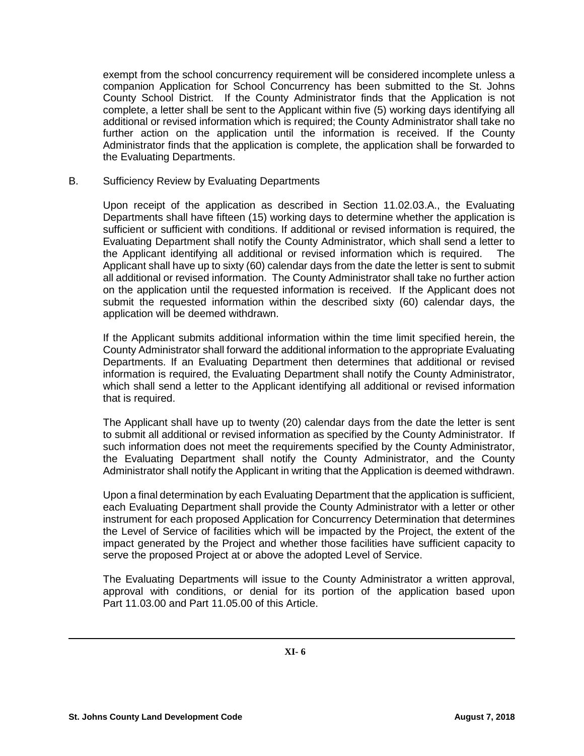exempt from the school concurrency requirement will be considered incomplete unless a companion Application for School Concurrency has been submitted to the St. Johns County School District. If the County Administrator finds that the Application is not complete, a letter shall be sent to the Applicant within five (5) working days identifying all additional or revised information which is required; the County Administrator shall take no further action on the application until the information is received. If the County Administrator finds that the application is complete, the application shall be forwarded to the Evaluating Departments.

B. Sufficiency Review by Evaluating Departments

Upon receipt of the application as described in Section 11.02.03.A., the Evaluating Departments shall have fifteen (15) working days to determine whether the application is sufficient or sufficient with conditions. If additional or revised information is required, the Evaluating Department shall notify the County Administrator, which shall send a letter to the Applicant identifying all additional or revised information which is required. The Applicant shall have up to sixty (60) calendar days from the date the letter is sent to submit all additional or revised information. The County Administrator shall take no further action on the application until the requested information is received. If the Applicant does not submit the requested information within the described sixty (60) calendar days, the application will be deemed withdrawn.

If the Applicant submits additional information within the time limit specified herein, the County Administrator shall forward the additional information to the appropriate Evaluating Departments. If an Evaluating Department then determines that additional or revised information is required, the Evaluating Department shall notify the County Administrator, which shall send a letter to the Applicant identifying all additional or revised information that is required.

The Applicant shall have up to twenty (20) calendar days from the date the letter is sent to submit all additional or revised information as specified by the County Administrator. If such information does not meet the requirements specified by the County Administrator, the Evaluating Department shall notify the County Administrator, and the County Administrator shall notify the Applicant in writing that the Application is deemed withdrawn.

Upon a final determination by each Evaluating Department that the application is sufficient, each Evaluating Department shall provide the County Administrator with a letter or other instrument for each proposed Application for Concurrency Determination that determines the Level of Service of facilities which will be impacted by the Project, the extent of the impact generated by the Project and whether those facilities have sufficient capacity to serve the proposed Project at or above the adopted Level of Service.

The Evaluating Departments will issue to the County Administrator a written approval, approval with conditions, or denial for its portion of the application based upon Part 11.03.00 and Part 11.05.00 of this Article.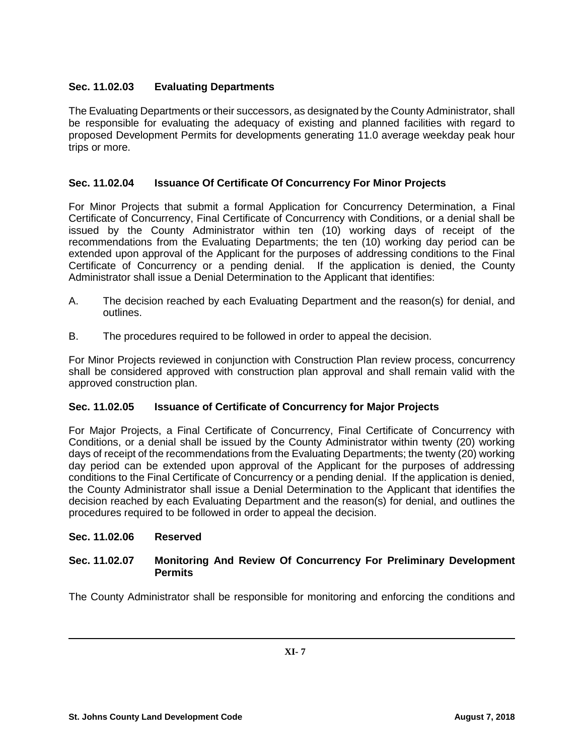# **Sec. 11.02.03 Evaluating Departments**

The Evaluating Departments or their successors, as designated by the County Administrator, shall be responsible for evaluating the adequacy of existing and planned facilities with regard to proposed Development Permits for developments generating 11.0 average weekday peak hour trips or more.

# **Sec. 11.02.04 Issuance Of Certificate Of Concurrency For Minor Projects**

For Minor Projects that submit a formal Application for Concurrency Determination, a Final Certificate of Concurrency, Final Certificate of Concurrency with Conditions, or a denial shall be issued by the County Administrator within ten (10) working days of receipt of the recommendations from the Evaluating Departments; the ten (10) working day period can be extended upon approval of the Applicant for the purposes of addressing conditions to the Final Certificate of Concurrency or a pending denial. If the application is denied, the County Administrator shall issue a Denial Determination to the Applicant that identifies:

- A. The decision reached by each Evaluating Department and the reason(s) for denial, and outlines.
- B. The procedures required to be followed in order to appeal the decision.

For Minor Projects reviewed in conjunction with Construction Plan review process, concurrency shall be considered approved with construction plan approval and shall remain valid with the approved construction plan.

# **Sec. 11.02.05 Issuance of Certificate of Concurrency for Major Projects**

For Major Projects, a Final Certificate of Concurrency, Final Certificate of Concurrency with Conditions, or a denial shall be issued by the County Administrator within twenty (20) working days of receipt of the recommendations from the Evaluating Departments; the twenty (20) working day period can be extended upon approval of the Applicant for the purposes of addressing conditions to the Final Certificate of Concurrency or a pending denial. If the application is denied, the County Administrator shall issue a Denial Determination to the Applicant that identifies the decision reached by each Evaluating Department and the reason(s) for denial, and outlines the procedures required to be followed in order to appeal the decision.

#### **Sec. 11.02.06 Reserved**

## **Sec. 11.02.07 Monitoring And Review Of Concurrency For Preliminary Development Permits**

The County Administrator shall be responsible for monitoring and enforcing the conditions and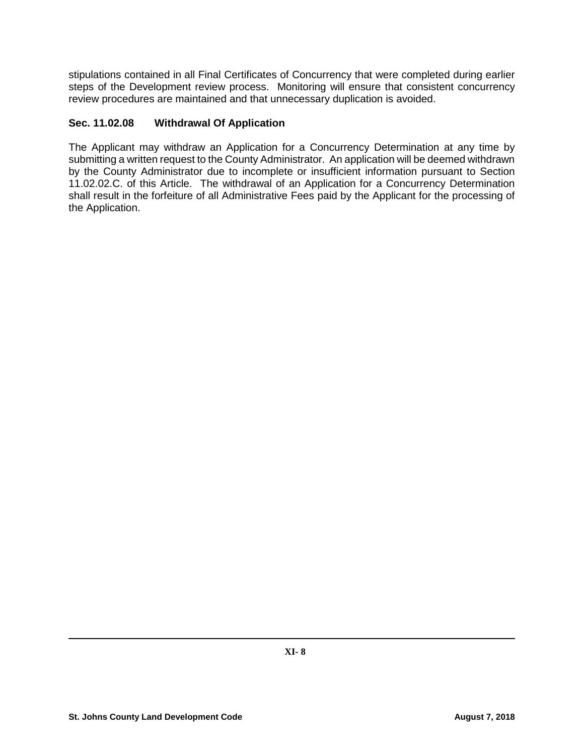stipulations contained in all Final Certificates of Concurrency that were completed during earlier steps of the Development review process. Monitoring will ensure that consistent concurrency review procedures are maintained and that unnecessary duplication is avoided.

# **Sec. 11.02.08 Withdrawal Of Application**

The Applicant may withdraw an Application for a Concurrency Determination at any time by submitting a written request to the County Administrator. An application will be deemed withdrawn by the County Administrator due to incomplete or insufficient information pursuant to Section 11.02.02.C. of this Article. The withdrawal of an Application for a Concurrency Determination shall result in the forfeiture of all Administrative Fees paid by the Applicant for the processing of the Application.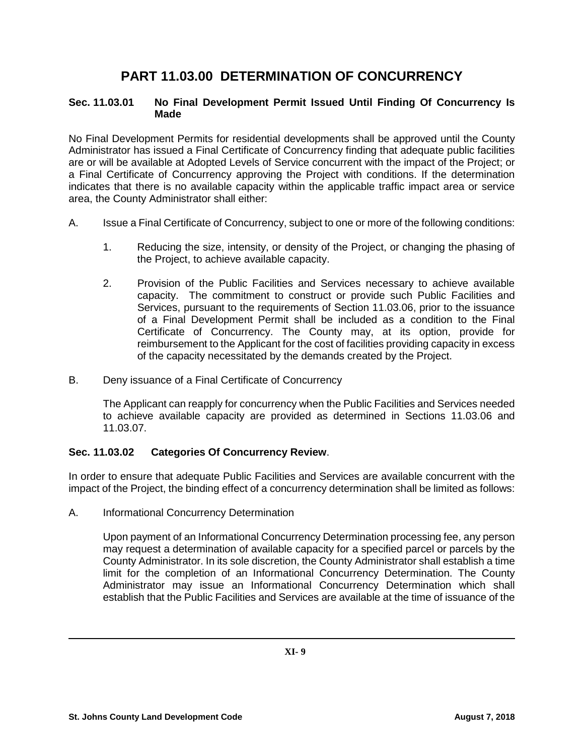# **PART 11.03.00 DETERMINATION OF CONCURRENCY**

## **Sec. 11.03.01 No Final Development Permit Issued Until Finding Of Concurrency Is Made**

No Final Development Permits for residential developments shall be approved until the County Administrator has issued a Final Certificate of Concurrency finding that adequate public facilities are or will be available at Adopted Levels of Service concurrent with the impact of the Project; or a Final Certificate of Concurrency approving the Project with conditions. If the determination indicates that there is no available capacity within the applicable traffic impact area or service area, the County Administrator shall either:

- A. Issue a Final Certificate of Concurrency, subject to one or more of the following conditions:
	- 1. Reducing the size, intensity, or density of the Project, or changing the phasing of the Project, to achieve available capacity.
	- 2. Provision of the Public Facilities and Services necessary to achieve available capacity. The commitment to construct or provide such Public Facilities and Services, pursuant to the requirements of Section 11.03.06, prior to the issuance of a Final Development Permit shall be included as a condition to the Final Certificate of Concurrency. The County may, at its option, provide for reimbursement to the Applicant for the cost of facilities providing capacity in excess of the capacity necessitated by the demands created by the Project.
- B. Deny issuance of a Final Certificate of Concurrency

The Applicant can reapply for concurrency when the Public Facilities and Services needed to achieve available capacity are provided as determined in Sections 11.03.06 and 11.03.07.

# **Sec. 11.03.02 Categories Of Concurrency Review**.

In order to ensure that adequate Public Facilities and Services are available concurrent with the impact of the Project, the binding effect of a concurrency determination shall be limited as follows:

A. Informational Concurrency Determination

Upon payment of an Informational Concurrency Determination processing fee, any person may request a determination of available capacity for a specified parcel or parcels by the County Administrator. In its sole discretion, the County Administrator shall establish a time limit for the completion of an Informational Concurrency Determination. The County Administrator may issue an Informational Concurrency Determination which shall establish that the Public Facilities and Services are available at the time of issuance of the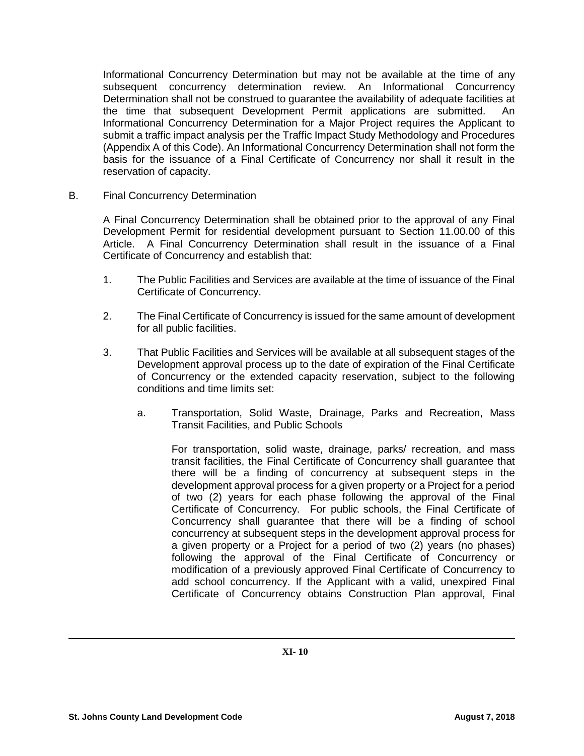Informational Concurrency Determination but may not be available at the time of any subsequent concurrency determination review. An Informational Concurrency Determination shall not be construed to guarantee the availability of adequate facilities at the time that subsequent Development Permit applications are submitted. An Informational Concurrency Determination for a Major Project requires the Applicant to submit a traffic impact analysis per the Traffic Impact Study Methodology and Procedures (Appendix A of this Code). An Informational Concurrency Determination shall not form the basis for the issuance of a Final Certificate of Concurrency nor shall it result in the reservation of capacity.

B. Final Concurrency Determination

A Final Concurrency Determination shall be obtained prior to the approval of any Final Development Permit for residential development pursuant to Section 11.00.00 of this Article. A Final Concurrency Determination shall result in the issuance of a Final Certificate of Concurrency and establish that:

- 1. The Public Facilities and Services are available at the time of issuance of the Final Certificate of Concurrency.
- 2. The Final Certificate of Concurrency is issued for the same amount of development for all public facilities.
- 3. That Public Facilities and Services will be available at all subsequent stages of the Development approval process up to the date of expiration of the Final Certificate of Concurrency or the extended capacity reservation, subject to the following conditions and time limits set:
	- a. Transportation, Solid Waste, Drainage, Parks and Recreation, Mass Transit Facilities, and Public Schools

For transportation, solid waste, drainage, parks/ recreation, and mass transit facilities, the Final Certificate of Concurrency shall guarantee that there will be a finding of concurrency at subsequent steps in the development approval process for a given property or a Project for a period of two (2) years for each phase following the approval of the Final Certificate of Concurrency. For public schools, the Final Certificate of Concurrency shall guarantee that there will be a finding of school concurrency at subsequent steps in the development approval process for a given property or a Project for a period of two (2) years (no phases) following the approval of the Final Certificate of Concurrency or modification of a previously approved Final Certificate of Concurrency to add school concurrency. If the Applicant with a valid, unexpired Final Certificate of Concurrency obtains Construction Plan approval, Final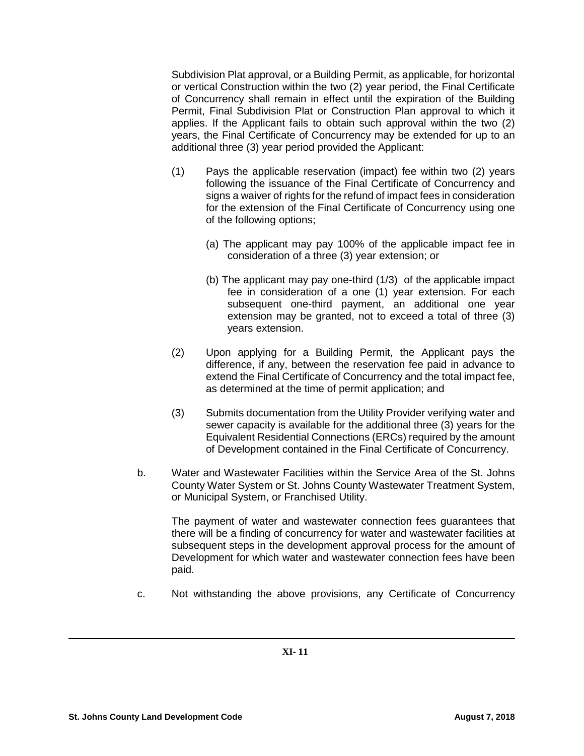Subdivision Plat approval, or a Building Permit, as applicable, for horizontal or vertical Construction within the two (2) year period, the Final Certificate of Concurrency shall remain in effect until the expiration of the Building Permit, Final Subdivision Plat or Construction Plan approval to which it applies. If the Applicant fails to obtain such approval within the two (2) years, the Final Certificate of Concurrency may be extended for up to an additional three (3) year period provided the Applicant:

- (1) Pays the applicable reservation (impact) fee within two (2) years following the issuance of the Final Certificate of Concurrency and signs a waiver of rights for the refund of impact fees in consideration for the extension of the Final Certificate of Concurrency using one of the following options;
	- (a) The applicant may pay 100% of the applicable impact fee in consideration of a three (3) year extension; or
	- (b) The applicant may pay one-third (1/3) of the applicable impact fee in consideration of a one (1) year extension. For each subsequent one-third payment, an additional one year extension may be granted, not to exceed a total of three (3) years extension.
- (2) Upon applying for a Building Permit, the Applicant pays the difference, if any, between the reservation fee paid in advance to extend the Final Certificate of Concurrency and the total impact fee, as determined at the time of permit application; and
- (3) Submits documentation from the Utility Provider verifying water and sewer capacity is available for the additional three (3) years for the Equivalent Residential Connections (ERCs) required by the amount of Development contained in the Final Certificate of Concurrency.
- b. Water and Wastewater Facilities within the Service Area of the St. Johns County Water System or St. Johns County Wastewater Treatment System, or Municipal System, or Franchised Utility.

The payment of water and wastewater connection fees guarantees that there will be a finding of concurrency for water and wastewater facilities at subsequent steps in the development approval process for the amount of Development for which water and wastewater connection fees have been paid.

c. Not withstanding the above provisions, any Certificate of Concurrency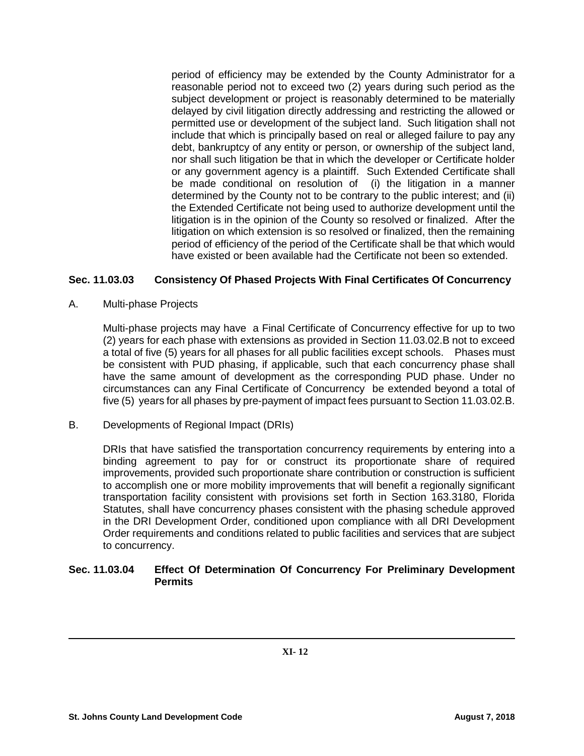period of efficiency may be extended by the County Administrator for a reasonable period not to exceed two (2) years during such period as the subject development or project is reasonably determined to be materially delayed by civil litigation directly addressing and restricting the allowed or permitted use or development of the subject land. Such litigation shall not include that which is principally based on real or alleged failure to pay any debt, bankruptcy of any entity or person, or ownership of the subject land, nor shall such litigation be that in which the developer or Certificate holder or any government agency is a plaintiff. Such Extended Certificate shall be made conditional on resolution of (i) the litigation in a manner determined by the County not to be contrary to the public interest; and (ii) the Extended Certificate not being used to authorize development until the litigation is in the opinion of the County so resolved or finalized. After the litigation on which extension is so resolved or finalized, then the remaining period of efficiency of the period of the Certificate shall be that which would have existed or been available had the Certificate not been so extended.

# **Sec. 11.03.03 Consistency Of Phased Projects With Final Certificates Of Concurrency**

A. Multi-phase Projects

Multi-phase projects may have a Final Certificate of Concurrency effective for up to two (2) years for each phase with extensions as provided in Section 11.03.02.B not to exceed a total of five (5) years for all phases for all public facilities except schools. Phases must be consistent with PUD phasing, if applicable, such that each concurrency phase shall have the same amount of development as the corresponding PUD phase. Under no circumstances can any Final Certificate of Concurrency be extended beyond a total of five (5) years for all phases by pre-payment of impact fees pursuant to Section 11.03.02.B.

# B. Developments of Regional Impact (DRIs)

DRIs that have satisfied the transportation concurrency requirements by entering into a binding agreement to pay for or construct its proportionate share of required improvements, provided such proportionate share contribution or construction is sufficient to accomplish one or more mobility improvements that will benefit a regionally significant transportation facility consistent with provisions set forth in Section 163.3180, Florida Statutes, shall have concurrency phases consistent with the phasing schedule approved in the DRI Development Order, conditioned upon compliance with all DRI Development Order requirements and conditions related to public facilities and services that are subject to concurrency.

# **Sec. 11.03.04 Effect Of Determination Of Concurrency For Preliminary Development Permits**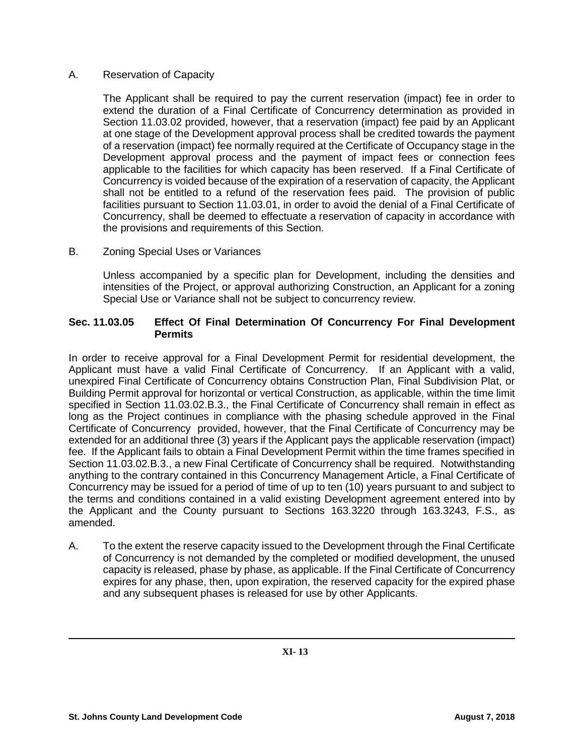## A. Reservation of Capacity

The Applicant shall be required to pay the current reservation (impact) fee in order to extend the duration of a Final Certificate of Concurrency determination as provided in Section 11.03.02 provided, however, that a reservation (impact) fee paid by an Applicant at one stage of the Development approval process shall be credited towards the payment of a reservation (impact) fee normally required at the Certificate of Occupancy stage in the Development approval process and the payment of impact fees or connection fees applicable to the facilities for which capacity has been reserved. If a Final Certificate of Concurrency is voided because of the expiration of a reservation of capacity, the Applicant shall not be entitled to a refund of the reservation fees paid. The provision of public facilities pursuant to Section 11.03.01, in order to avoid the denial of a Final Certificate of Concurrency, shall be deemed to effectuate a reservation of capacity in accordance with the provisions and requirements of this Section.

B. Zoning Special Uses or Variances

Unless accompanied by a specific plan for Development, including the densities and intensities of the Project, or approval authorizing Construction, an Applicant for a zoning Special Use or Variance shall not be subject to concurrency review.

### **Sec. 11.03.05 Effect Of Final Determination Of Concurrency For Final Development Permits**

In order to receive approval for a Final Development Permit for residential development, the Applicant must have a valid Final Certificate of Concurrency. If an Applicant with a valid, unexpired Final Certificate of Concurrency obtains Construction Plan, Final Subdivision Plat, or Building Permit approval for horizontal or vertical Construction, as applicable, within the time limit specified in Section 11.03.02.B.3., the Final Certificate of Concurrency shall remain in effect as long as the Project continues in compliance with the phasing schedule approved in the Final Certificate of Concurrency provided, however, that the Final Certificate of Concurrency may be extended for an additional three (3) years if the Applicant pays the applicable reservation (impact) fee. If the Applicant fails to obtain a Final Development Permit within the time frames specified in Section 11.03.02.B.3., a new Final Certificate of Concurrency shall be required. Notwithstanding anything to the contrary contained in this Concurrency Management Article, a Final Certificate of Concurrency may be issued for a period of time of up to ten (10) years pursuant to and subject to the terms and conditions contained in a valid existing Development agreement entered into by the Applicant and the County pursuant to Sections 163.3220 through 163.3243, F.S., as amended.

A. To the extent the reserve capacity issued to the Development through the Final Certificate of Concurrency is not demanded by the completed or modified development, the unused capacity is released, phase by phase, as applicable. If the Final Certificate of Concurrency expires for any phase, then, upon expiration, the reserved capacity for the expired phase and any subsequent phases is released for use by other Applicants.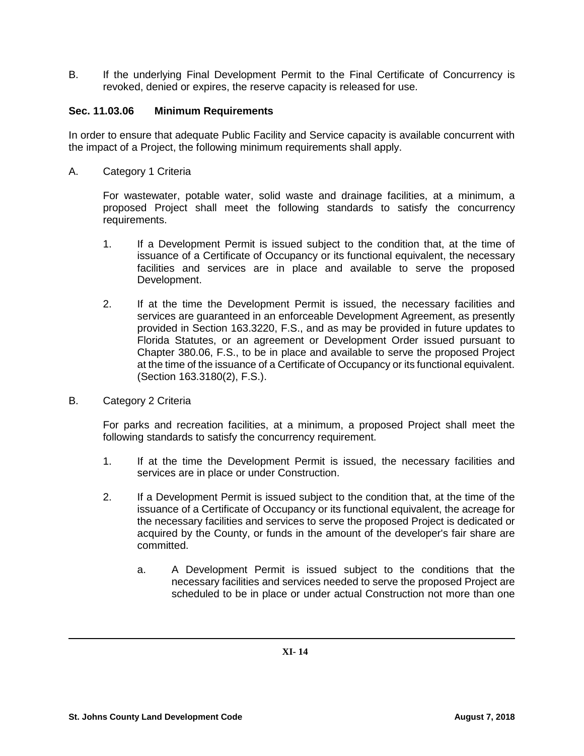B. If the underlying Final Development Permit to the Final Certificate of Concurrency is revoked, denied or expires, the reserve capacity is released for use.

## **Sec. 11.03.06 Minimum Requirements**

In order to ensure that adequate Public Facility and Service capacity is available concurrent with the impact of a Project, the following minimum requirements shall apply.

A. Category 1 Criteria

For wastewater, potable water, solid waste and drainage facilities, at a minimum, a proposed Project shall meet the following standards to satisfy the concurrency requirements.

- 1. If a Development Permit is issued subject to the condition that, at the time of issuance of a Certificate of Occupancy or its functional equivalent, the necessary facilities and services are in place and available to serve the proposed Development.
- 2. If at the time the Development Permit is issued, the necessary facilities and services are guaranteed in an enforceable Development Agreement, as presently provided in Section 163.3220, F.S., and as may be provided in future updates to Florida Statutes, or an agreement or Development Order issued pursuant to Chapter 380.06, F.S., to be in place and available to serve the proposed Project at the time of the issuance of a Certificate of Occupancy or its functional equivalent. (Section 163.3180(2), F.S.).
- B. Category 2 Criteria

For parks and recreation facilities, at a minimum, a proposed Project shall meet the following standards to satisfy the concurrency requirement.

- 1. If at the time the Development Permit is issued, the necessary facilities and services are in place or under Construction.
- 2. If a Development Permit is issued subject to the condition that, at the time of the issuance of a Certificate of Occupancy or its functional equivalent, the acreage for the necessary facilities and services to serve the proposed Project is dedicated or acquired by the County, or funds in the amount of the developer's fair share are committed.
	- a. A Development Permit is issued subject to the conditions that the necessary facilities and services needed to serve the proposed Project are scheduled to be in place or under actual Construction not more than one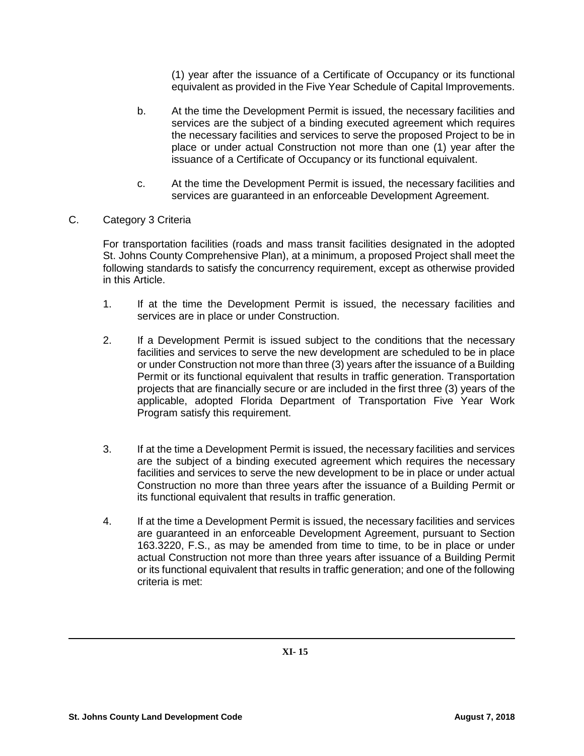(1) year after the issuance of a Certificate of Occupancy or its functional equivalent as provided in the Five Year Schedule of Capital Improvements.

- b. At the time the Development Permit is issued, the necessary facilities and services are the subject of a binding executed agreement which requires the necessary facilities and services to serve the proposed Project to be in place or under actual Construction not more than one (1) year after the issuance of a Certificate of Occupancy or its functional equivalent.
- c. At the time the Development Permit is issued, the necessary facilities and services are guaranteed in an enforceable Development Agreement.
- C. Category 3 Criteria

For transportation facilities (roads and mass transit facilities designated in the adopted St. Johns County Comprehensive Plan), at a minimum, a proposed Project shall meet the following standards to satisfy the concurrency requirement, except as otherwise provided in this Article.

- 1. If at the time the Development Permit is issued, the necessary facilities and services are in place or under Construction.
- 2. If a Development Permit is issued subject to the conditions that the necessary facilities and services to serve the new development are scheduled to be in place or under Construction not more than three (3) years after the issuance of a Building Permit or its functional equivalent that results in traffic generation. Transportation projects that are financially secure or are included in the first three (3) years of the applicable, adopted Florida Department of Transportation Five Year Work Program satisfy this requirement.
- 3. If at the time a Development Permit is issued, the necessary facilities and services are the subject of a binding executed agreement which requires the necessary facilities and services to serve the new development to be in place or under actual Construction no more than three years after the issuance of a Building Permit or its functional equivalent that results in traffic generation.
- 4. If at the time a Development Permit is issued, the necessary facilities and services are guaranteed in an enforceable Development Agreement, pursuant to Section 163.3220, F.S., as may be amended from time to time, to be in place or under actual Construction not more than three years after issuance of a Building Permit or its functional equivalent that results in traffic generation; and one of the following criteria is met: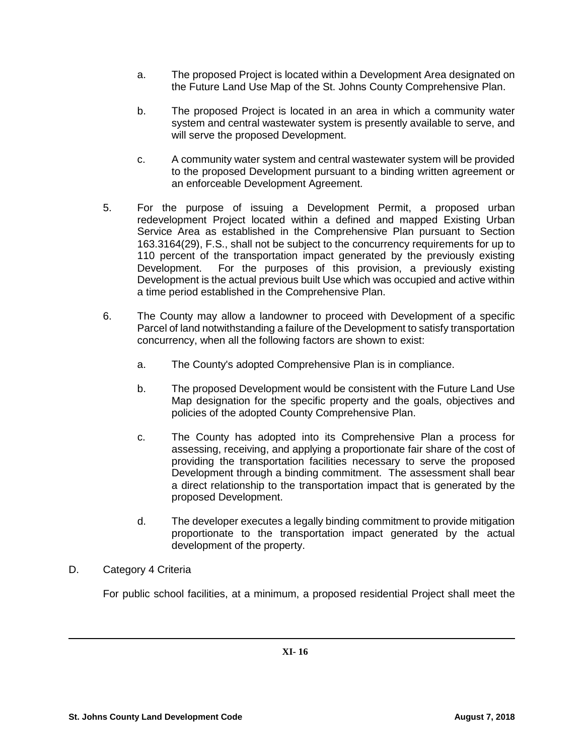- a. The proposed Project is located within a Development Area designated on the Future Land Use Map of the St. Johns County Comprehensive Plan.
- b. The proposed Project is located in an area in which a community water system and central wastewater system is presently available to serve, and will serve the proposed Development.
- c. A community water system and central wastewater system will be provided to the proposed Development pursuant to a binding written agreement or an enforceable Development Agreement.
- 5. For the purpose of issuing a Development Permit, a proposed urban redevelopment Project located within a defined and mapped Existing Urban Service Area as established in the Comprehensive Plan pursuant to Section 163.3164(29), F.S., shall not be subject to the concurrency requirements for up to 110 percent of the transportation impact generated by the previously existing<br>Development. For the purposes of this provision, a previously existing For the purposes of this provision, a previously existing Development is the actual previous built Use which was occupied and active within a time period established in the Comprehensive Plan.
- 6. The County may allow a landowner to proceed with Development of a specific Parcel of land notwithstanding a failure of the Development to satisfy transportation concurrency, when all the following factors are shown to exist:
	- a. The County's adopted Comprehensive Plan is in compliance.
	- b. The proposed Development would be consistent with the Future Land Use Map designation for the specific property and the goals, objectives and policies of the adopted County Comprehensive Plan.
	- c. The County has adopted into its Comprehensive Plan a process for assessing, receiving, and applying a proportionate fair share of the cost of providing the transportation facilities necessary to serve the proposed Development through a binding commitment. The assessment shall bear a direct relationship to the transportation impact that is generated by the proposed Development.
	- d. The developer executes a legally binding commitment to provide mitigation proportionate to the transportation impact generated by the actual development of the property.
- D. Category 4 Criteria

For public school facilities, at a minimum, a proposed residential Project shall meet the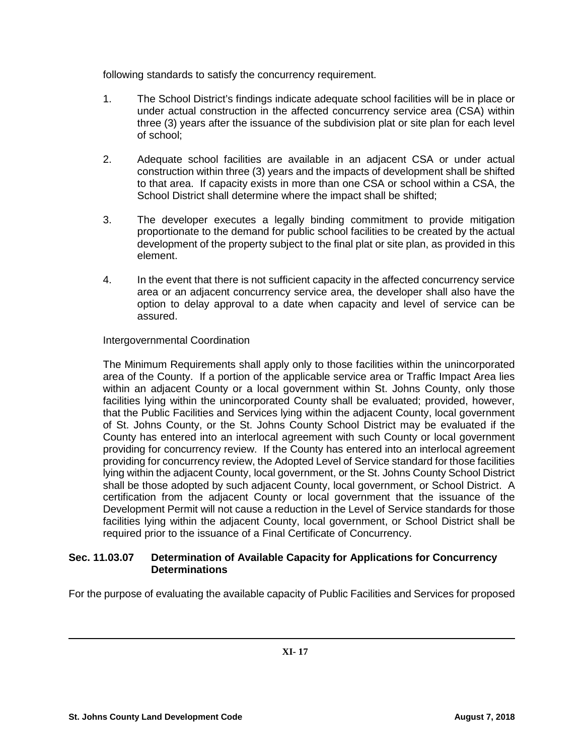following standards to satisfy the concurrency requirement.

- 1. The School District's findings indicate adequate school facilities will be in place or under actual construction in the affected concurrency service area (CSA) within three (3) years after the issuance of the subdivision plat or site plan for each level of school;
- 2. Adequate school facilities are available in an adjacent CSA or under actual construction within three (3) years and the impacts of development shall be shifted to that area. If capacity exists in more than one CSA or school within a CSA, the School District shall determine where the impact shall be shifted;
- 3. The developer executes a legally binding commitment to provide mitigation proportionate to the demand for public school facilities to be created by the actual development of the property subject to the final plat or site plan, as provided in this element.
- 4. In the event that there is not sufficient capacity in the affected concurrency service area or an adjacent concurrency service area, the developer shall also have the option to delay approval to a date when capacity and level of service can be assured.

## Intergovernmental Coordination

The Minimum Requirements shall apply only to those facilities within the unincorporated area of the County. If a portion of the applicable service area or Traffic Impact Area lies within an adjacent County or a local government within St. Johns County, only those facilities lying within the unincorporated County shall be evaluated; provided, however, that the Public Facilities and Services lying within the adjacent County, local government of St. Johns County, or the St. Johns County School District may be evaluated if the County has entered into an interlocal agreement with such County or local government providing for concurrency review. If the County has entered into an interlocal agreement providing for concurrency review, the Adopted Level of Service standard for those facilities lying within the adjacent County, local government, or the St. Johns County School District shall be those adopted by such adjacent County, local government, or School District. A certification from the adjacent County or local government that the issuance of the Development Permit will not cause a reduction in the Level of Service standards for those facilities lying within the adjacent County, local government, or School District shall be required prior to the issuance of a Final Certificate of Concurrency.

## **Sec. 11.03.07 Determination of Available Capacity for Applications for Concurrency Determinations**

For the purpose of evaluating the available capacity of Public Facilities and Services for proposed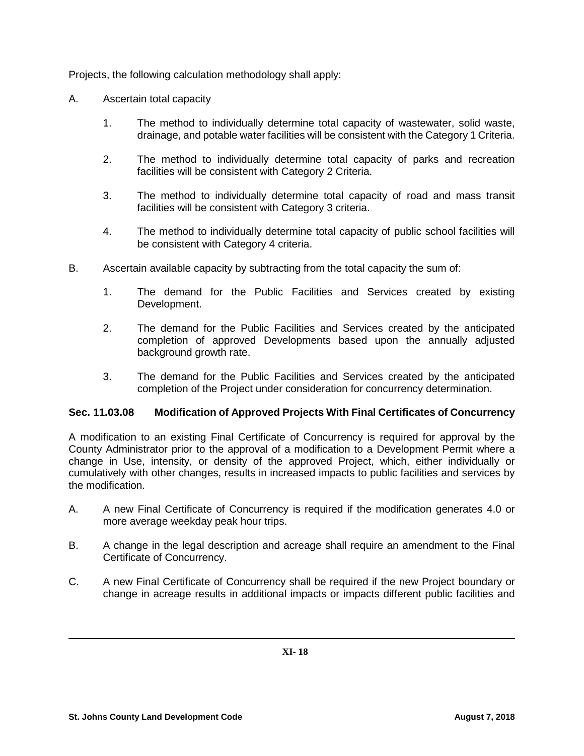Projects, the following calculation methodology shall apply:

- A. Ascertain total capacity
	- 1. The method to individually determine total capacity of wastewater, solid waste, drainage, and potable water facilities will be consistent with the Category 1 Criteria.
	- 2. The method to individually determine total capacity of parks and recreation facilities will be consistent with Category 2 Criteria.
	- 3. The method to individually determine total capacity of road and mass transit facilities will be consistent with Category 3 criteria.
	- 4. The method to individually determine total capacity of public school facilities will be consistent with Category 4 criteria.
- B. Ascertain available capacity by subtracting from the total capacity the sum of:
	- 1. The demand for the Public Facilities and Services created by existing Development.
	- 2. The demand for the Public Facilities and Services created by the anticipated completion of approved Developments based upon the annually adjusted background growth rate.
	- 3. The demand for the Public Facilities and Services created by the anticipated completion of the Project under consideration for concurrency determination.

#### **Sec. 11.03.08 Modification of Approved Projects With Final Certificates of Concurrency**

A modification to an existing Final Certificate of Concurrency is required for approval by the County Administrator prior to the approval of a modification to a Development Permit where a change in Use, intensity, or density of the approved Project, which, either individually or cumulatively with other changes, results in increased impacts to public facilities and services by the modification.

- A. A new Final Certificate of Concurrency is required if the modification generates 4.0 or more average weekday peak hour trips.
- B. A change in the legal description and acreage shall require an amendment to the Final Certificate of Concurrency.
- C. A new Final Certificate of Concurrency shall be required if the new Project boundary or change in acreage results in additional impacts or impacts different public facilities and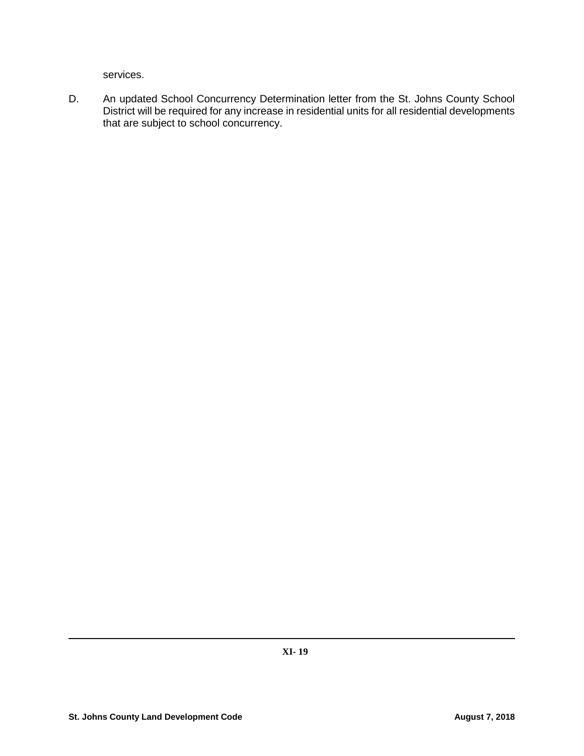services.

D. An updated School Concurrency Determination letter from the St. Johns County School District will be required for any increase in residential units for all residential developments that are subject to school concurrency.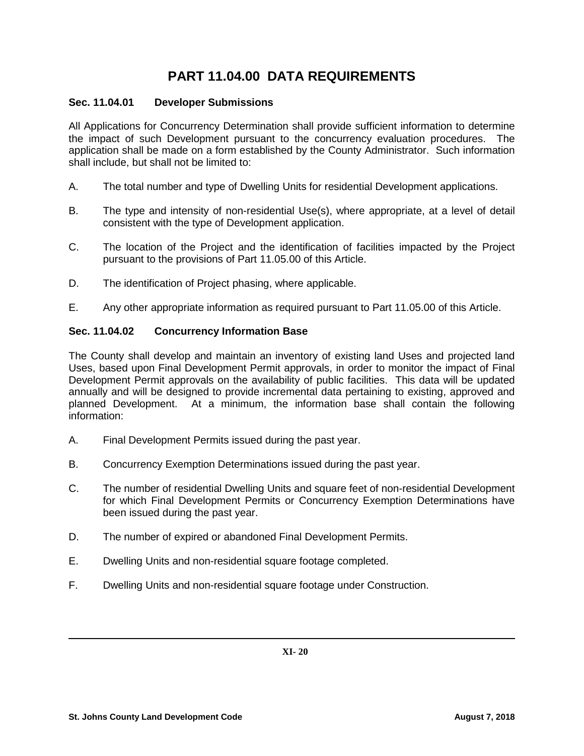# **PART 11.04.00 DATA REQUIREMENTS**

## **Sec. 11.04.01 Developer Submissions**

All Applications for Concurrency Determination shall provide sufficient information to determine the impact of such Development pursuant to the concurrency evaluation procedures. The application shall be made on a form established by the County Administrator. Such information shall include, but shall not be limited to:

- A. The total number and type of Dwelling Units for residential Development applications.
- B. The type and intensity of non-residential Use(s), where appropriate, at a level of detail consistent with the type of Development application.
- C. The location of the Project and the identification of facilities impacted by the Project pursuant to the provisions of Part 11.05.00 of this Article.
- D. The identification of Project phasing, where applicable.
- E. Any other appropriate information as required pursuant to Part 11.05.00 of this Article.

## **Sec. 11.04.02 Concurrency Information Base**

The County shall develop and maintain an inventory of existing land Uses and projected land Uses, based upon Final Development Permit approvals, in order to monitor the impact of Final Development Permit approvals on the availability of public facilities. This data will be updated annually and will be designed to provide incremental data pertaining to existing, approved and planned Development. At a minimum, the information base shall contain the following information:

- A. Final Development Permits issued during the past year.
- B. Concurrency Exemption Determinations issued during the past year.
- C. The number of residential Dwelling Units and square feet of non-residential Development for which Final Development Permits or Concurrency Exemption Determinations have been issued during the past year.
- D. The number of expired or abandoned Final Development Permits.
- E. Dwelling Units and non-residential square footage completed.
- F. Dwelling Units and non-residential square footage under Construction.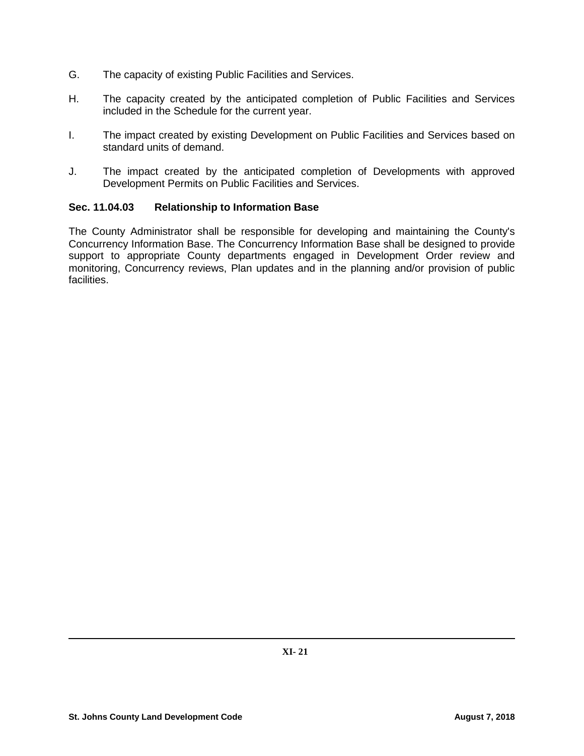- G. The capacity of existing Public Facilities and Services.
- H. The capacity created by the anticipated completion of Public Facilities and Services included in the Schedule for the current year.
- I. The impact created by existing Development on Public Facilities and Services based on standard units of demand.
- J. The impact created by the anticipated completion of Developments with approved Development Permits on Public Facilities and Services.

## **Sec. 11.04.03 Relationship to Information Base**

The County Administrator shall be responsible for developing and maintaining the County's Concurrency Information Base. The Concurrency Information Base shall be designed to provide support to appropriate County departments engaged in Development Order review and monitoring, Concurrency reviews, Plan updates and in the planning and/or provision of public facilities.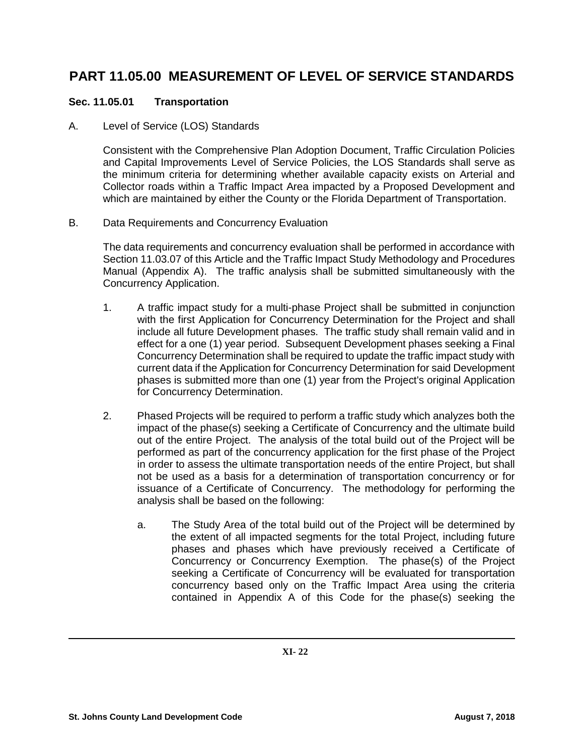# **PART 11.05.00 MEASUREMENT OF LEVEL OF SERVICE STANDARDS**

# **Sec. 11.05.01 Transportation**

# A. Level of Service (LOS) Standards

Consistent with the Comprehensive Plan Adoption Document, Traffic Circulation Policies and Capital Improvements Level of Service Policies, the LOS Standards shall serve as the minimum criteria for determining whether available capacity exists on Arterial and Collector roads within a Traffic Impact Area impacted by a Proposed Development and which are maintained by either the County or the Florida Department of Transportation.

# B. Data Requirements and Concurrency Evaluation

The data requirements and concurrency evaluation shall be performed in accordance with Section 11.03.07 of this Article and the Traffic Impact Study Methodology and Procedures Manual (Appendix A). The traffic analysis shall be submitted simultaneously with the Concurrency Application.

- 1. A traffic impact study for a multi-phase Project shall be submitted in conjunction with the first Application for Concurrency Determination for the Project and shall include all future Development phases. The traffic study shall remain valid and in effect for a one (1) year period. Subsequent Development phases seeking a Final Concurrency Determination shall be required to update the traffic impact study with current data if the Application for Concurrency Determination for said Development phases is submitted more than one (1) year from the Project's original Application for Concurrency Determination.
- 2. Phased Projects will be required to perform a traffic study which analyzes both the impact of the phase(s) seeking a Certificate of Concurrency and the ultimate build out of the entire Project. The analysis of the total build out of the Project will be performed as part of the concurrency application for the first phase of the Project in order to assess the ultimate transportation needs of the entire Project, but shall not be used as a basis for a determination of transportation concurrency or for issuance of a Certificate of Concurrency. The methodology for performing the analysis shall be based on the following:
	- a. The Study Area of the total build out of the Project will be determined by the extent of all impacted segments for the total Project, including future phases and phases which have previously received a Certificate of Concurrency or Concurrency Exemption. The phase(s) of the Project seeking a Certificate of Concurrency will be evaluated for transportation concurrency based only on the Traffic Impact Area using the criteria contained in Appendix A of this Code for the phase(s) seeking the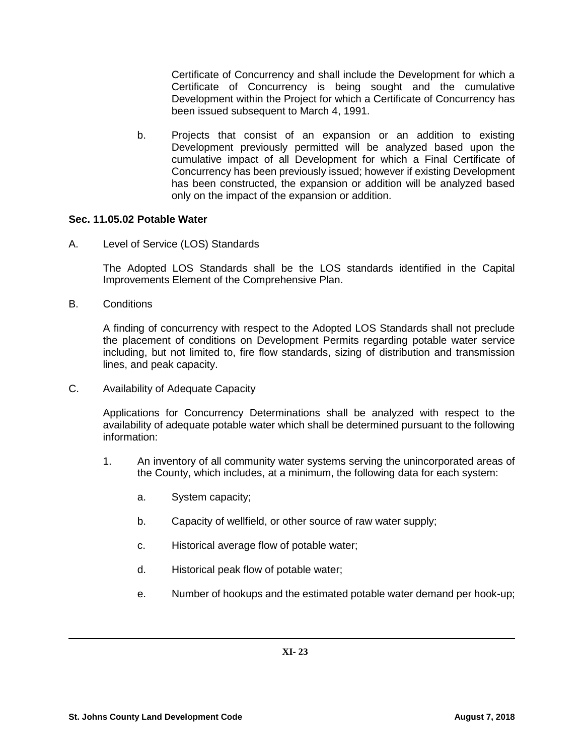Certificate of Concurrency and shall include the Development for which a Certificate of Concurrency is being sought and the cumulative Development within the Project for which a Certificate of Concurrency has been issued subsequent to March 4, 1991.

b. Projects that consist of an expansion or an addition to existing Development previously permitted will be analyzed based upon the cumulative impact of all Development for which a Final Certificate of Concurrency has been previously issued; however if existing Development has been constructed, the expansion or addition will be analyzed based only on the impact of the expansion or addition.

#### **Sec. 11.05.02 Potable Water**

A. Level of Service (LOS) Standards

The Adopted LOS Standards shall be the LOS standards identified in the Capital Improvements Element of the Comprehensive Plan.

B. Conditions

A finding of concurrency with respect to the Adopted LOS Standards shall not preclude the placement of conditions on Development Permits regarding potable water service including, but not limited to, fire flow standards, sizing of distribution and transmission lines, and peak capacity.

C. Availability of Adequate Capacity

Applications for Concurrency Determinations shall be analyzed with respect to the availability of adequate potable water which shall be determined pursuant to the following information:

- 1. An inventory of all community water systems serving the unincorporated areas of the County, which includes, at a minimum, the following data for each system:
	- a. System capacity;
	- b. Capacity of wellfield, or other source of raw water supply;
	- c. Historical average flow of potable water;
	- d. Historical peak flow of potable water;
	- e. Number of hookups and the estimated potable water demand per hook-up;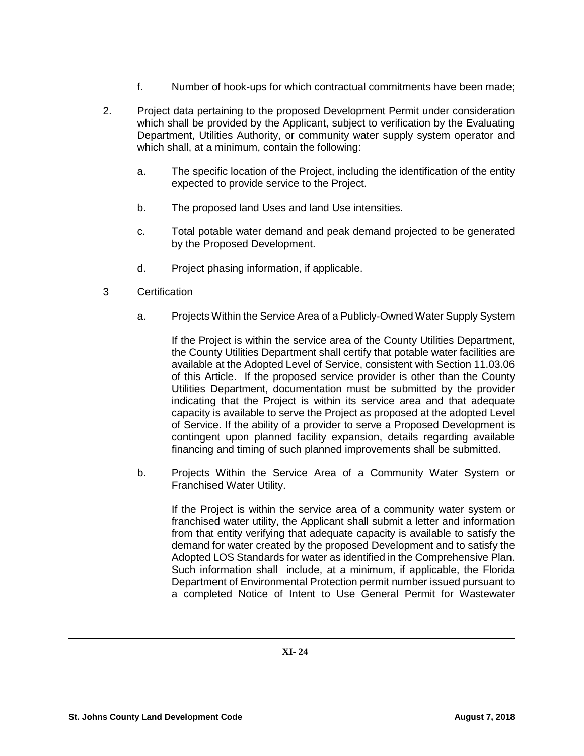- f. Number of hook-ups for which contractual commitments have been made;
- 2. Project data pertaining to the proposed Development Permit under consideration which shall be provided by the Applicant, subject to verification by the Evaluating Department, Utilities Authority, or community water supply system operator and which shall, at a minimum, contain the following:
	- a. The specific location of the Project, including the identification of the entity expected to provide service to the Project.
	- b. The proposed land Uses and land Use intensities.
	- c. Total potable water demand and peak demand projected to be generated by the Proposed Development.
	- d. Project phasing information, if applicable.
- 3 Certification
	- a. Projects Within the Service Area of a Publicly-Owned Water Supply System

If the Project is within the service area of the County Utilities Department, the County Utilities Department shall certify that potable water facilities are available at the Adopted Level of Service, consistent with Section 11.03.06 of this Article. If the proposed service provider is other than the County Utilities Department, documentation must be submitted by the provider indicating that the Project is within its service area and that adequate capacity is available to serve the Project as proposed at the adopted Level of Service. If the ability of a provider to serve a Proposed Development is contingent upon planned facility expansion, details regarding available financing and timing of such planned improvements shall be submitted.

b. Projects Within the Service Area of a Community Water System or Franchised Water Utility.

If the Project is within the service area of a community water system or franchised water utility, the Applicant shall submit a letter and information from that entity verifying that adequate capacity is available to satisfy the demand for water created by the proposed Development and to satisfy the Adopted LOS Standards for water as identified in the Comprehensive Plan. Such information shall include, at a minimum, if applicable, the Florida Department of Environmental Protection permit number issued pursuant to a completed Notice of Intent to Use General Permit for Wastewater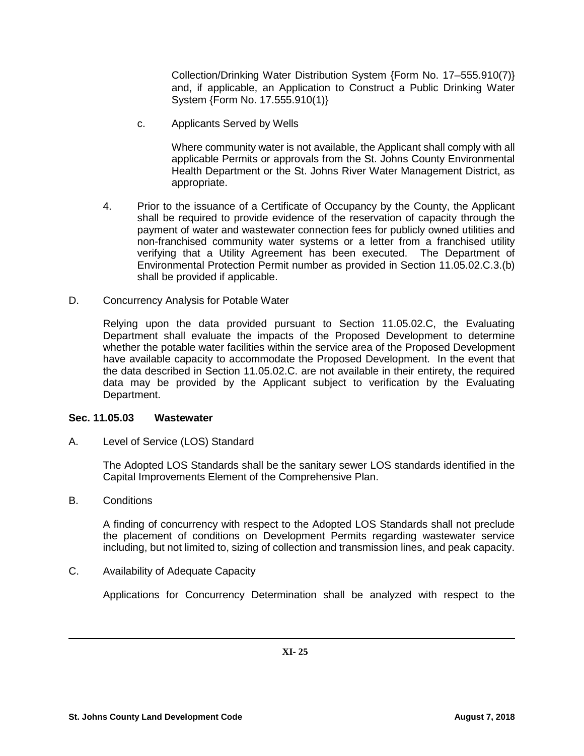Collection/Drinking Water Distribution System {Form No. 17─555.910(7)} and, if applicable, an Application to Construct a Public Drinking Water System {Form No. 17.555.910(1)}

c. Applicants Served by Wells

Where community water is not available, the Applicant shall comply with all applicable Permits or approvals from the St. Johns County Environmental Health Department or the St. Johns River Water Management District, as appropriate.

- 4. Prior to the issuance of a Certificate of Occupancy by the County, the Applicant shall be required to provide evidence of the reservation of capacity through the payment of water and wastewater connection fees for publicly owned utilities and non-franchised community water systems or a letter from a franchised utility verifying that a Utility Agreement has been executed. The Department of Environmental Protection Permit number as provided in Section 11.05.02.C.3.(b) shall be provided if applicable.
- D. Concurrency Analysis for Potable Water

Relying upon the data provided pursuant to Section 11.05.02.C, the Evaluating Department shall evaluate the impacts of the Proposed Development to determine whether the potable water facilities within the service area of the Proposed Development have available capacity to accommodate the Proposed Development. In the event that the data described in Section 11.05.02.C. are not available in their entirety, the required data may be provided by the Applicant subject to verification by the Evaluating Department.

#### **Sec. 11.05.03 Wastewater**

A. Level of Service (LOS) Standard

The Adopted LOS Standards shall be the sanitary sewer LOS standards identified in the Capital Improvements Element of the Comprehensive Plan.

B. Conditions

A finding of concurrency with respect to the Adopted LOS Standards shall not preclude the placement of conditions on Development Permits regarding wastewater service including, but not limited to, sizing of collection and transmission lines, and peak capacity.

C. Availability of Adequate Capacity

Applications for Concurrency Determination shall be analyzed with respect to the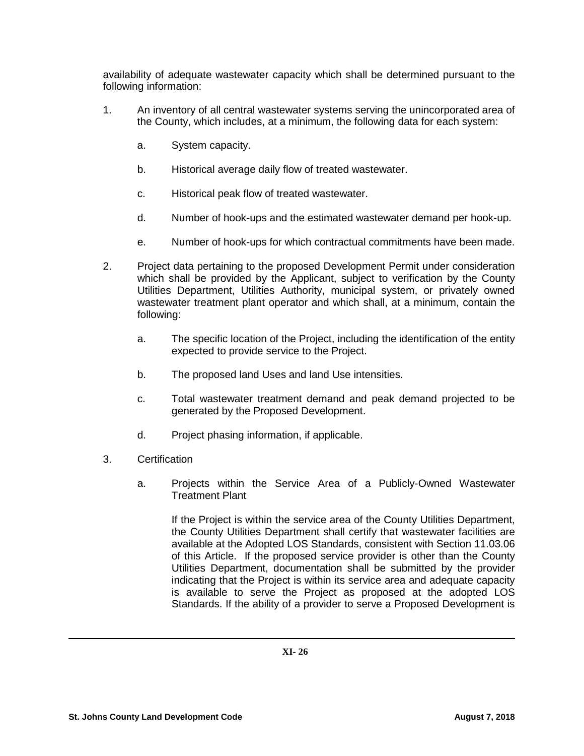availability of adequate wastewater capacity which shall be determined pursuant to the following information:

- 1. An inventory of all central wastewater systems serving the unincorporated area of the County, which includes, at a minimum, the following data for each system:
	- a. System capacity.
	- b. Historical average daily flow of treated wastewater.
	- c. Historical peak flow of treated wastewater.
	- d. Number of hook-ups and the estimated wastewater demand per hook-up.
	- e. Number of hook-ups for which contractual commitments have been made.
- 2. Project data pertaining to the proposed Development Permit under consideration which shall be provided by the Applicant, subject to verification by the County Utilities Department, Utilities Authority, municipal system, or privately owned wastewater treatment plant operator and which shall, at a minimum, contain the following:
	- a. The specific location of the Project, including the identification of the entity expected to provide service to the Project.
	- b. The proposed land Uses and land Use intensities.
	- c. Total wastewater treatment demand and peak demand projected to be generated by the Proposed Development.
	- d. Project phasing information, if applicable.
- 3. Certification
	- a. Projects within the Service Area of a Publicly-Owned Wastewater Treatment Plant

If the Project is within the service area of the County Utilities Department, the County Utilities Department shall certify that wastewater facilities are available at the Adopted LOS Standards, consistent with Section 11.03.06 of this Article. If the proposed service provider is other than the County Utilities Department, documentation shall be submitted by the provider indicating that the Project is within its service area and adequate capacity is available to serve the Project as proposed at the adopted LOS Standards. If the ability of a provider to serve a Proposed Development is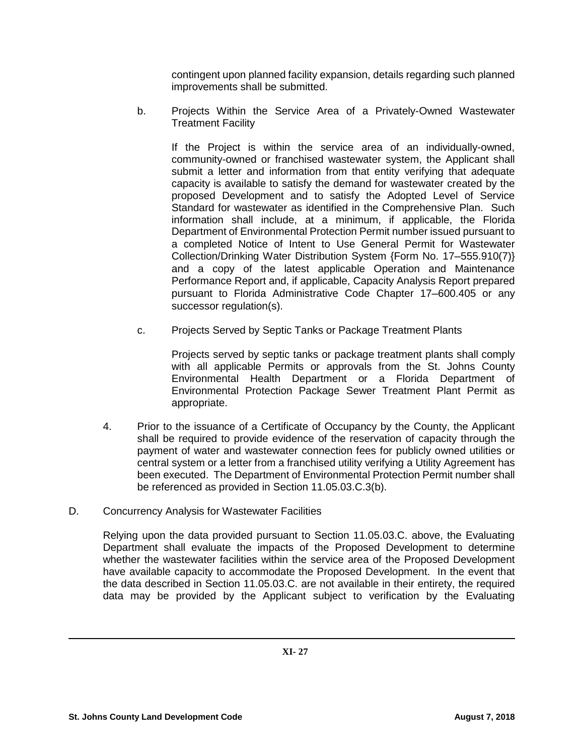contingent upon planned facility expansion, details regarding such planned improvements shall be submitted.

b. Projects Within the Service Area of a Privately-Owned Wastewater Treatment Facility

If the Project is within the service area of an individually-owned, community-owned or franchised wastewater system, the Applicant shall submit a letter and information from that entity verifying that adequate capacity is available to satisfy the demand for wastewater created by the proposed Development and to satisfy the Adopted Level of Service Standard for wastewater as identified in the Comprehensive Plan. Such information shall include, at a minimum, if applicable, the Florida Department of Environmental Protection Permit number issued pursuant to a completed Notice of Intent to Use General Permit for Wastewater Collection/Drinking Water Distribution System {Form No. 17─555.910(7)} and a copy of the latest applicable Operation and Maintenance Performance Report and, if applicable, Capacity Analysis Report prepared pursuant to Florida Administrative Code Chapter 17─600.405 or any successor regulation(s).

c. Projects Served by Septic Tanks or Package Treatment Plants

Projects served by septic tanks or package treatment plants shall comply with all applicable Permits or approvals from the St. Johns County Environmental Health Department or a Florida Department of Environmental Protection Package Sewer Treatment Plant Permit as appropriate.

- 4. Prior to the issuance of a Certificate of Occupancy by the County, the Applicant shall be required to provide evidence of the reservation of capacity through the payment of water and wastewater connection fees for publicly owned utilities or central system or a letter from a franchised utility verifying a Utility Agreement has been executed. The Department of Environmental Protection Permit number shall be referenced as provided in Section 11.05.03.C.3(b).
- D. Concurrency Analysis for Wastewater Facilities

Relying upon the data provided pursuant to Section 11.05.03.C. above, the Evaluating Department shall evaluate the impacts of the Proposed Development to determine whether the wastewater facilities within the service area of the Proposed Development have available capacity to accommodate the Proposed Development. In the event that the data described in Section 11.05.03.C. are not available in their entirety, the required data may be provided by the Applicant subject to verification by the Evaluating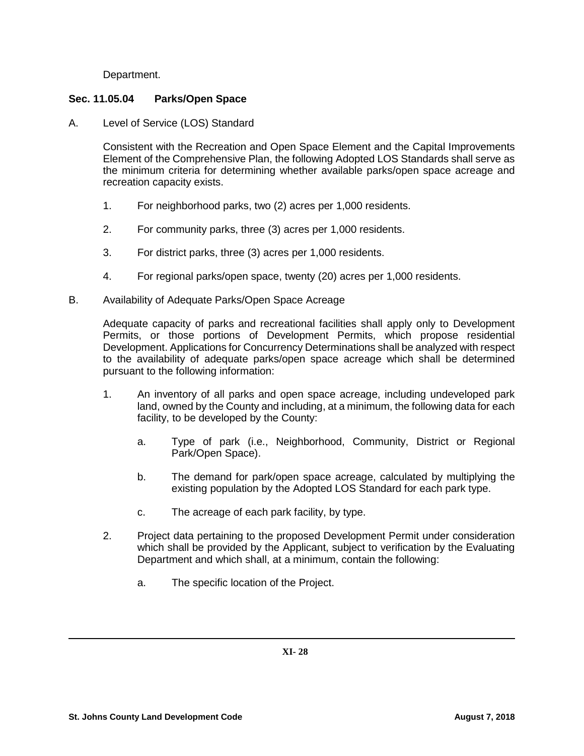Department.

## **Sec. 11.05.04 Parks/Open Space**

A. Level of Service (LOS) Standard

Consistent with the Recreation and Open Space Element and the Capital Improvements Element of the Comprehensive Plan, the following Adopted LOS Standards shall serve as the minimum criteria for determining whether available parks/open space acreage and recreation capacity exists.

- 1. For neighborhood parks, two (2) acres per 1,000 residents.
- 2. For community parks, three (3) acres per 1,000 residents.
- 3. For district parks, three (3) acres per 1,000 residents.
- 4. For regional parks/open space, twenty (20) acres per 1,000 residents.
- B. Availability of Adequate Parks/Open Space Acreage

Adequate capacity of parks and recreational facilities shall apply only to Development Permits, or those portions of Development Permits, which propose residential Development. Applications for Concurrency Determinations shall be analyzed with respect to the availability of adequate parks/open space acreage which shall be determined pursuant to the following information:

- 1. An inventory of all parks and open space acreage, including undeveloped park land, owned by the County and including, at a minimum, the following data for each facility, to be developed by the County:
	- a. Type of park (i.e., Neighborhood, Community, District or Regional Park/Open Space).
	- b. The demand for park/open space acreage, calculated by multiplying the existing population by the Adopted LOS Standard for each park type.
	- c. The acreage of each park facility, by type.
- 2. Project data pertaining to the proposed Development Permit under consideration which shall be provided by the Applicant, subject to verification by the Evaluating Department and which shall, at a minimum, contain the following:
	- a. The specific location of the Project.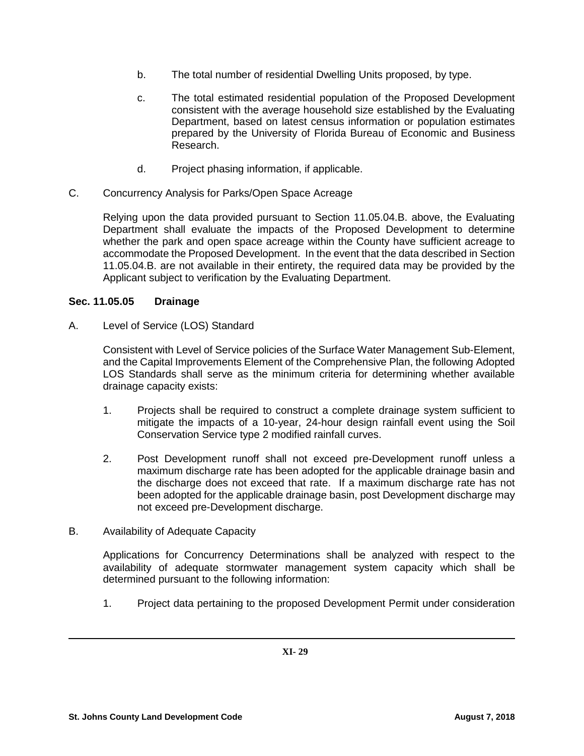- b. The total number of residential Dwelling Units proposed, by type.
- c. The total estimated residential population of the Proposed Development consistent with the average household size established by the Evaluating Department, based on latest census information or population estimates prepared by the University of Florida Bureau of Economic and Business Research.
- d. Project phasing information, if applicable.
- C. Concurrency Analysis for Parks/Open Space Acreage

Relying upon the data provided pursuant to Section 11.05.04.B. above, the Evaluating Department shall evaluate the impacts of the Proposed Development to determine whether the park and open space acreage within the County have sufficient acreage to accommodate the Proposed Development. In the event that the data described in Section 11.05.04.B. are not available in their entirety, the required data may be provided by the Applicant subject to verification by the Evaluating Department.

# **Sec. 11.05.05 Drainage**

A. Level of Service (LOS) Standard

Consistent with Level of Service policies of the Surface Water Management Sub-Element, and the Capital Improvements Element of the Comprehensive Plan, the following Adopted LOS Standards shall serve as the minimum criteria for determining whether available drainage capacity exists:

- 1. Projects shall be required to construct a complete drainage system sufficient to mitigate the impacts of a 10-year, 24-hour design rainfall event using the Soil Conservation Service type 2 modified rainfall curves.
- 2. Post Development runoff shall not exceed pre-Development runoff unless a maximum discharge rate has been adopted for the applicable drainage basin and the discharge does not exceed that rate. If a maximum discharge rate has not been adopted for the applicable drainage basin, post Development discharge may not exceed pre-Development discharge.
- B. Availability of Adequate Capacity

Applications for Concurrency Determinations shall be analyzed with respect to the availability of adequate stormwater management system capacity which shall be determined pursuant to the following information:

1. Project data pertaining to the proposed Development Permit under consideration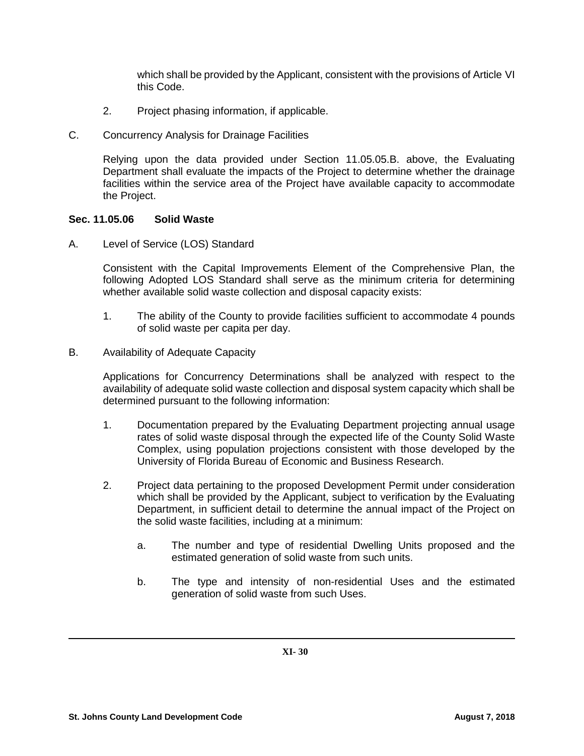which shall be provided by the Applicant, consistent with the provisions of Article VI this Code.

- 2. Project phasing information, if applicable.
- C. Concurrency Analysis for Drainage Facilities

Relying upon the data provided under Section 11.05.05.B. above, the Evaluating Department shall evaluate the impacts of the Project to determine whether the drainage facilities within the service area of the Project have available capacity to accommodate the Project.

#### **Sec. 11.05.06 Solid Waste**

A. Level of Service (LOS) Standard

Consistent with the Capital Improvements Element of the Comprehensive Plan, the following Adopted LOS Standard shall serve as the minimum criteria for determining whether available solid waste collection and disposal capacity exists:

- 1. The ability of the County to provide facilities sufficient to accommodate 4 pounds of solid waste per capita per day.
- B. Availability of Adequate Capacity

Applications for Concurrency Determinations shall be analyzed with respect to the availability of adequate solid waste collection and disposal system capacity which shall be determined pursuant to the following information:

- 1. Documentation prepared by the Evaluating Department projecting annual usage rates of solid waste disposal through the expected life of the County Solid Waste Complex, using population projections consistent with those developed by the University of Florida Bureau of Economic and Business Research.
- 2. Project data pertaining to the proposed Development Permit under consideration which shall be provided by the Applicant, subject to verification by the Evaluating Department, in sufficient detail to determine the annual impact of the Project on the solid waste facilities, including at a minimum:
	- a. The number and type of residential Dwelling Units proposed and the estimated generation of solid waste from such units.
	- b. The type and intensity of non-residential Uses and the estimated generation of solid waste from such Uses.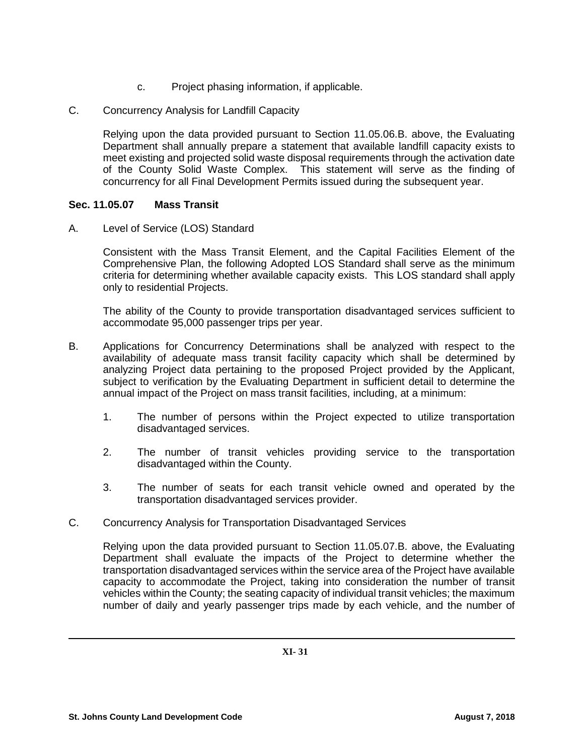- c. Project phasing information, if applicable.
- C. Concurrency Analysis for Landfill Capacity

Relying upon the data provided pursuant to Section 11.05.06.B. above, the Evaluating Department shall annually prepare a statement that available landfill capacity exists to meet existing and projected solid waste disposal requirements through the activation date of the County Solid Waste Complex. This statement will serve as the finding of concurrency for all Final Development Permits issued during the subsequent year.

## **Sec. 11.05.07 Mass Transit**

A. Level of Service (LOS) Standard

Consistent with the Mass Transit Element, and the Capital Facilities Element of the Comprehensive Plan, the following Adopted LOS Standard shall serve as the minimum criteria for determining whether available capacity exists. This LOS standard shall apply only to residential Projects.

The ability of the County to provide transportation disadvantaged services sufficient to accommodate 95,000 passenger trips per year.

- B. Applications for Concurrency Determinations shall be analyzed with respect to the availability of adequate mass transit facility capacity which shall be determined by analyzing Project data pertaining to the proposed Project provided by the Applicant, subject to verification by the Evaluating Department in sufficient detail to determine the annual impact of the Project on mass transit facilities, including, at a minimum:
	- 1. The number of persons within the Project expected to utilize transportation disadvantaged services.
	- 2. The number of transit vehicles providing service to the transportation disadvantaged within the County.
	- 3. The number of seats for each transit vehicle owned and operated by the transportation disadvantaged services provider.
- C. Concurrency Analysis for Transportation Disadvantaged Services

Relying upon the data provided pursuant to Section 11.05.07.B. above, the Evaluating Department shall evaluate the impacts of the Project to determine whether the transportation disadvantaged services within the service area of the Project have available capacity to accommodate the Project, taking into consideration the number of transit vehicles within the County; the seating capacity of individual transit vehicles; the maximum number of daily and yearly passenger trips made by each vehicle, and the number of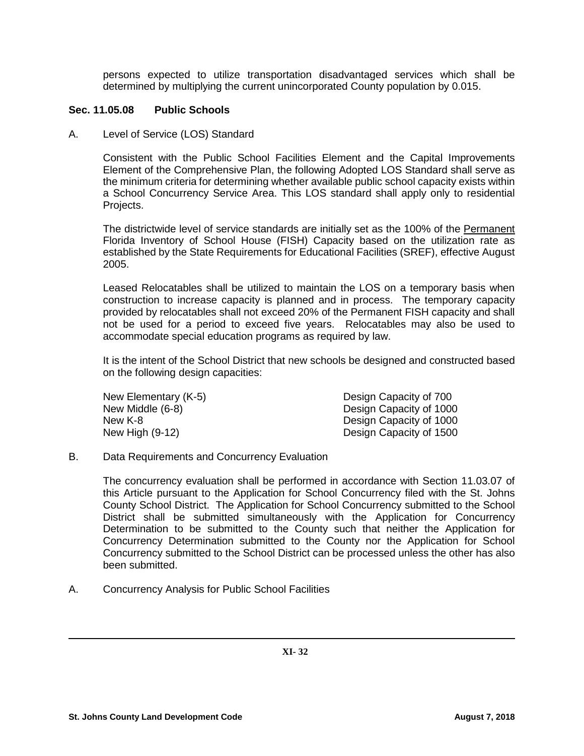persons expected to utilize transportation disadvantaged services which shall be determined by multiplying the current unincorporated County population by 0.015.

## **Sec. 11.05.08 Public Schools**

A. Level of Service (LOS) Standard

Consistent with the Public School Facilities Element and the Capital Improvements Element of the Comprehensive Plan, the following Adopted LOS Standard shall serve as the minimum criteria for determining whether available public school capacity exists within a School Concurrency Service Area. This LOS standard shall apply only to residential Projects.

The districtwide level of service standards are initially set as the 100% of the Permanent Florida Inventory of School House (FISH) Capacity based on the utilization rate as established by the State Requirements for Educational Facilities (SREF), effective August 2005.

Leased Relocatables shall be utilized to maintain the LOS on a temporary basis when construction to increase capacity is planned and in process. The temporary capacity provided by relocatables shall not exceed 20% of the Permanent FISH capacity and shall not be used for a period to exceed five years. Relocatables may also be used to accommodate special education programs as required by law.

It is the intent of the School District that new schools be designed and constructed based on the following design capacities:

| Design Capacity of 700  |
|-------------------------|
| Design Capacity of 1000 |
| Design Capacity of 1000 |
| Design Capacity of 1500 |
|                         |

B. Data Requirements and Concurrency Evaluation

The concurrency evaluation shall be performed in accordance with Section 11.03.07 of this Article pursuant to the Application for School Concurrency filed with the St. Johns County School District. The Application for School Concurrency submitted to the School District shall be submitted simultaneously with the Application for Concurrency Determination to be submitted to the County such that neither the Application for Concurrency Determination submitted to the County nor the Application for School Concurrency submitted to the School District can be processed unless the other has also been submitted.

A. Concurrency Analysis for Public School Facilities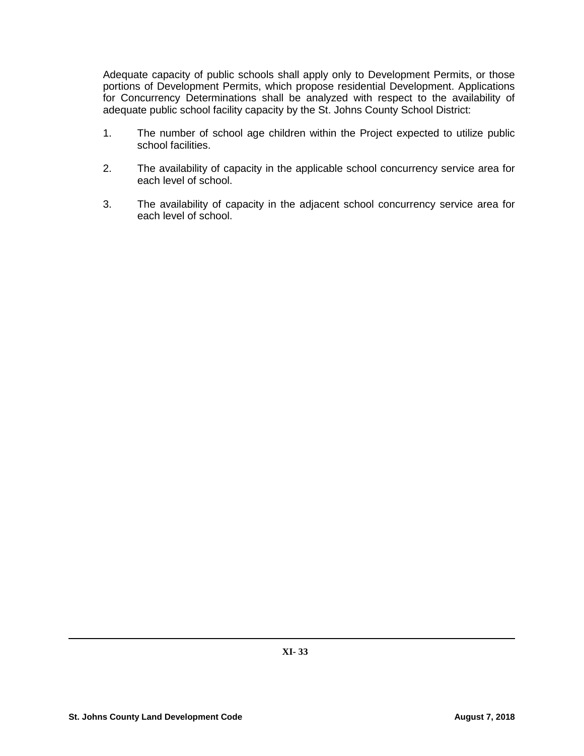Adequate capacity of public schools shall apply only to Development Permits, or those portions of Development Permits, which propose residential Development. Applications for Concurrency Determinations shall be analyzed with respect to the availability of adequate public school facility capacity by the St. Johns County School District:

- 1. The number of school age children within the Project expected to utilize public school facilities.
- 2. The availability of capacity in the applicable school concurrency service area for each level of school.
- 3. The availability of capacity in the adjacent school concurrency service area for each level of school.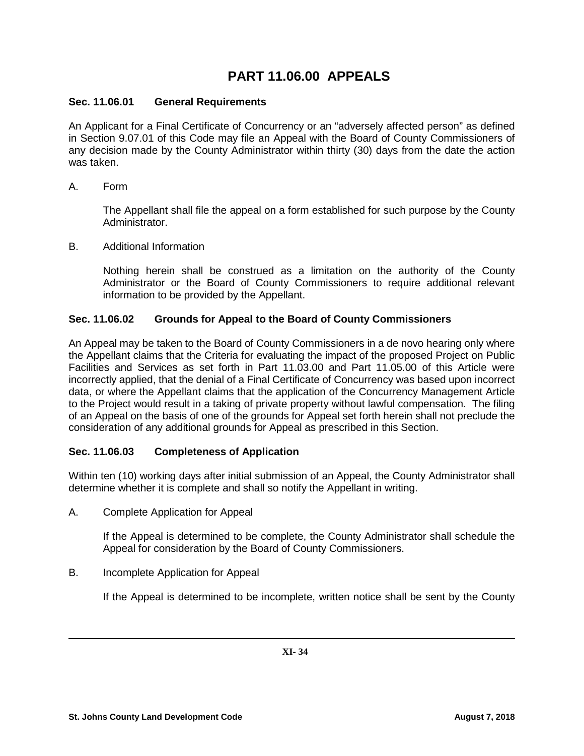# **PART 11.06.00 APPEALS**

## **Sec. 11.06.01 General Requirements**

An Applicant for a Final Certificate of Concurrency or an "adversely affected person" as defined in Section 9.07.01 of this Code may file an Appeal with the Board of County Commissioners of any decision made by the County Administrator within thirty (30) days from the date the action was taken.

A. Form

The Appellant shall file the appeal on a form established for such purpose by the County Administrator.

B. Additional Information

Nothing herein shall be construed as a limitation on the authority of the County Administrator or the Board of County Commissioners to require additional relevant information to be provided by the Appellant.

## **Sec. 11.06.02 Grounds for Appeal to the Board of County Commissioners**

An Appeal may be taken to the Board of County Commissioners in a de novo hearing only where the Appellant claims that the Criteria for evaluating the impact of the proposed Project on Public Facilities and Services as set forth in Part 11.03.00 and Part 11.05.00 of this Article were incorrectly applied, that the denial of a Final Certificate of Concurrency was based upon incorrect data, or where the Appellant claims that the application of the Concurrency Management Article to the Project would result in a taking of private property without lawful compensation. The filing of an Appeal on the basis of one of the grounds for Appeal set forth herein shall not preclude the consideration of any additional grounds for Appeal as prescribed in this Section.

# **Sec. 11.06.03 Completeness of Application**

Within ten (10) working days after initial submission of an Appeal, the County Administrator shall determine whether it is complete and shall so notify the Appellant in writing.

A. Complete Application for Appeal

If the Appeal is determined to be complete, the County Administrator shall schedule the Appeal for consideration by the Board of County Commissioners.

B. Incomplete Application for Appeal

If the Appeal is determined to be incomplete, written notice shall be sent by the County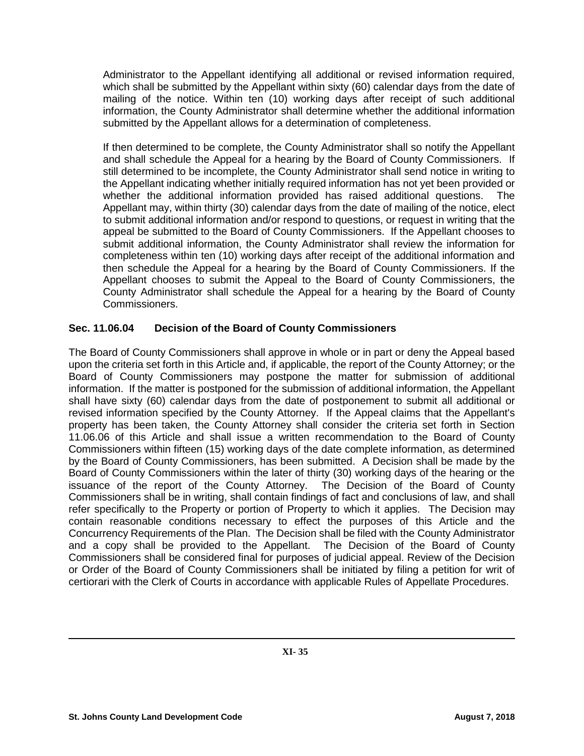Administrator to the Appellant identifying all additional or revised information required, which shall be submitted by the Appellant within sixty (60) calendar days from the date of mailing of the notice. Within ten (10) working days after receipt of such additional information, the County Administrator shall determine whether the additional information submitted by the Appellant allows for a determination of completeness.

If then determined to be complete, the County Administrator shall so notify the Appellant and shall schedule the Appeal for a hearing by the Board of County Commissioners. If still determined to be incomplete, the County Administrator shall send notice in writing to the Appellant indicating whether initially required information has not yet been provided or whether the additional information provided has raised additional questions. The Appellant may, within thirty (30) calendar days from the date of mailing of the notice, elect to submit additional information and/or respond to questions, or request in writing that the appeal be submitted to the Board of County Commissioners. If the Appellant chooses to submit additional information, the County Administrator shall review the information for completeness within ten (10) working days after receipt of the additional information and then schedule the Appeal for a hearing by the Board of County Commissioners. If the Appellant chooses to submit the Appeal to the Board of County Commissioners, the County Administrator shall schedule the Appeal for a hearing by the Board of County Commissioners.

# **Sec. 11.06.04 Decision of the Board of County Commissioners**

The Board of County Commissioners shall approve in whole or in part or deny the Appeal based upon the criteria set forth in this Article and, if applicable, the report of the County Attorney; or the Board of County Commissioners may postpone the matter for submission of additional information. If the matter is postponed for the submission of additional information, the Appellant shall have sixty (60) calendar days from the date of postponement to submit all additional or revised information specified by the County Attorney. If the Appeal claims that the Appellant's property has been taken, the County Attorney shall consider the criteria set forth in Section 11.06.06 of this Article and shall issue a written recommendation to the Board of County Commissioners within fifteen (15) working days of the date complete information, as determined by the Board of County Commissioners, has been submitted. A Decision shall be made by the Board of County Commissioners within the later of thirty (30) working days of the hearing or the issuance of the report of the County Attorney. The Decision of the Board of County Commissioners shall be in writing, shall contain findings of fact and conclusions of law, and shall refer specifically to the Property or portion of Property to which it applies. The Decision may contain reasonable conditions necessary to effect the purposes of this Article and the Concurrency Requirements of the Plan. The Decision shall be filed with the County Administrator and a copy shall be provided to the Appellant. The Decision of the Board of County Commissioners shall be considered final for purposes of judicial appeal. Review of the Decision or Order of the Board of County Commissioners shall be initiated by filing a petition for writ of certiorari with the Clerk of Courts in accordance with applicable Rules of Appellate Procedures.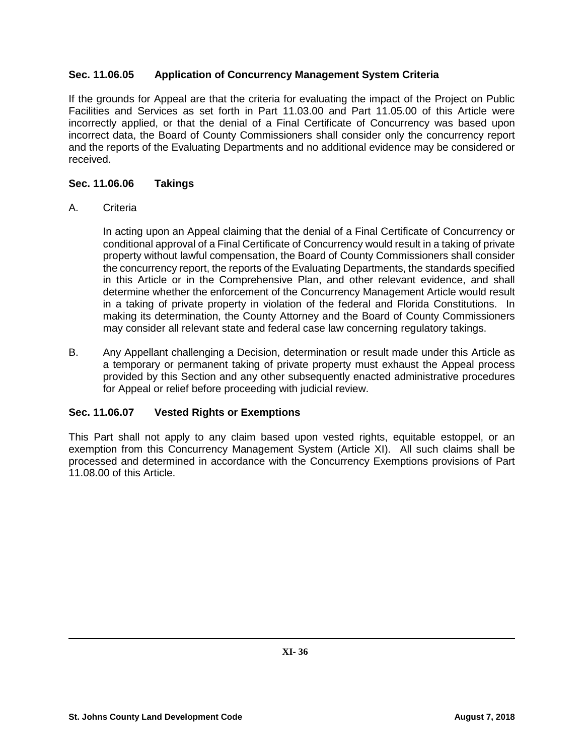# **Sec. 11.06.05 Application of Concurrency Management System Criteria**

If the grounds for Appeal are that the criteria for evaluating the impact of the Project on Public Facilities and Services as set forth in Part 11.03.00 and Part 11.05.00 of this Article were incorrectly applied, or that the denial of a Final Certificate of Concurrency was based upon incorrect data, the Board of County Commissioners shall consider only the concurrency report and the reports of the Evaluating Departments and no additional evidence may be considered or received.

## **Sec. 11.06.06 Takings**

## A. Criteria

In acting upon an Appeal claiming that the denial of a Final Certificate of Concurrency or conditional approval of a Final Certificate of Concurrency would result in a taking of private property without lawful compensation, the Board of County Commissioners shall consider the concurrency report, the reports of the Evaluating Departments, the standards specified in this Article or in the Comprehensive Plan, and other relevant evidence, and shall determine whether the enforcement of the Concurrency Management Article would result in a taking of private property in violation of the federal and Florida Constitutions. In making its determination, the County Attorney and the Board of County Commissioners may consider all relevant state and federal case law concerning regulatory takings.

B. Any Appellant challenging a Decision, determination or result made under this Article as a temporary or permanent taking of private property must exhaust the Appeal process provided by this Section and any other subsequently enacted administrative procedures for Appeal or relief before proceeding with judicial review.

# **Sec. 11.06.07 Vested Rights or Exemptions**

This Part shall not apply to any claim based upon vested rights, equitable estoppel, or an exemption from this Concurrency Management System (Article XI). All such claims shall be processed and determined in accordance with the Concurrency Exemptions provisions of Part 11.08.00 of this Article.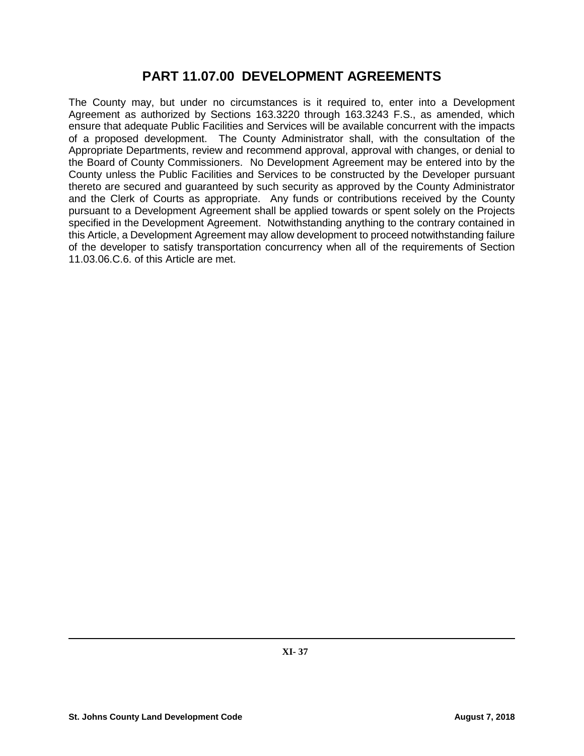# **PART 11.07.00 DEVELOPMENT AGREEMENTS**

The County may, but under no circumstances is it required to, enter into a Development Agreement as authorized by Sections 163.3220 through 163.3243 F.S., as amended, which ensure that adequate Public Facilities and Services will be available concurrent with the impacts of a proposed development. The County Administrator shall, with the consultation of the Appropriate Departments, review and recommend approval, approval with changes, or denial to the Board of County Commissioners. No Development Agreement may be entered into by the County unless the Public Facilities and Services to be constructed by the Developer pursuant thereto are secured and guaranteed by such security as approved by the County Administrator and the Clerk of Courts as appropriate. Any funds or contributions received by the County pursuant to a Development Agreement shall be applied towards or spent solely on the Projects specified in the Development Agreement. Notwithstanding anything to the contrary contained in this Article, a Development Agreement may allow development to proceed notwithstanding failure of the developer to satisfy transportation concurrency when all of the requirements of Section 11.03.06.C.6. of this Article are met.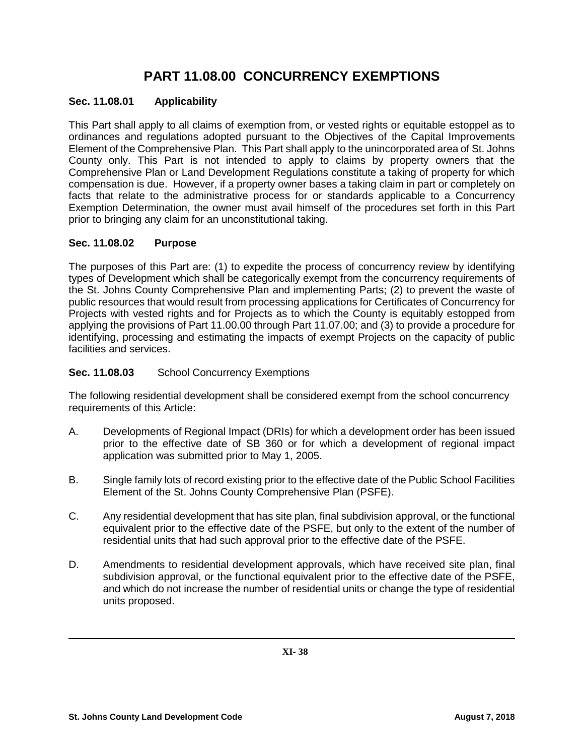# **PART 11.08.00 CONCURRENCY EXEMPTIONS**

## **Sec. 11.08.01 Applicability**

This Part shall apply to all claims of exemption from, or vested rights or equitable estoppel as to ordinances and regulations adopted pursuant to the Objectives of the Capital Improvements Element of the Comprehensive Plan. This Part shall apply to the unincorporated area of St. Johns County only. This Part is not intended to apply to claims by property owners that the Comprehensive Plan or Land Development Regulations constitute a taking of property for which compensation is due. However, if a property owner bases a taking claim in part or completely on facts that relate to the administrative process for or standards applicable to a Concurrency Exemption Determination, the owner must avail himself of the procedures set forth in this Part prior to bringing any claim for an unconstitutional taking.

#### **Sec. 11.08.02 Purpose**

The purposes of this Part are: (1) to expedite the process of concurrency review by identifying types of Development which shall be categorically exempt from the concurrency requirements of the St. Johns County Comprehensive Plan and implementing Parts; (2) to prevent the waste of public resources that would result from processing applications for Certificates of Concurrency for Projects with vested rights and for Projects as to which the County is equitably estopped from applying the provisions of Part 11.00.00 through Part 11.07.00; and (3) to provide a procedure for identifying, processing and estimating the impacts of exempt Projects on the capacity of public facilities and services.

## **Sec. 11.08.03** School Concurrency Exemptions

The following residential development shall be considered exempt from the school concurrency requirements of this Article:

- A. Developments of Regional Impact (DRIs) for which a development order has been issued prior to the effective date of SB 360 or for which a development of regional impact application was submitted prior to May 1, 2005.
- B. Single family lots of record existing prior to the effective date of the Public School Facilities Element of the St. Johns County Comprehensive Plan (PSFE).
- C. Any residential development that has site plan, final subdivision approval, or the functional equivalent prior to the effective date of the PSFE, but only to the extent of the number of residential units that had such approval prior to the effective date of the PSFE.
- D. Amendments to residential development approvals, which have received site plan, final subdivision approval, or the functional equivalent prior to the effective date of the PSFE, and which do not increase the number of residential units or change the type of residential units proposed.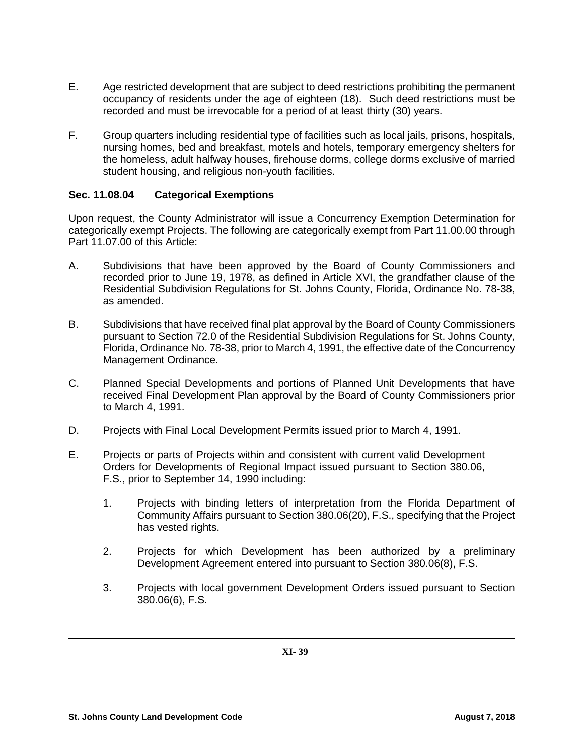- E. Age restricted development that are subject to deed restrictions prohibiting the permanent occupancy of residents under the age of eighteen (18). Such deed restrictions must be recorded and must be irrevocable for a period of at least thirty (30) years.
- F. Group quarters including residential type of facilities such as local jails, prisons, hospitals, nursing homes, bed and breakfast, motels and hotels, temporary emergency shelters for the homeless, adult halfway houses, firehouse dorms, college dorms exclusive of married student housing, and religious non-youth facilities.

## **Sec. 11.08.04 Categorical Exemptions**

Upon request, the County Administrator will issue a Concurrency Exemption Determination for categorically exempt Projects. The following are categorically exempt from Part 11.00.00 through Part 11.07.00 of this Article:

- A. Subdivisions that have been approved by the Board of County Commissioners and recorded prior to June 19, 1978, as defined in Article XVI, the grandfather clause of the Residential Subdivision Regulations for St. Johns County, Florida, Ordinance No. 78-38, as amended.
- B. Subdivisions that have received final plat approval by the Board of County Commissioners pursuant to Section 72.0 of the Residential Subdivision Regulations for St. Johns County, Florida, Ordinance No. 78-38, prior to March 4, 1991, the effective date of the Concurrency Management Ordinance.
- C. Planned Special Developments and portions of Planned Unit Developments that have received Final Development Plan approval by the Board of County Commissioners prior to March 4, 1991.
- D. Projects with Final Local Development Permits issued prior to March 4, 1991.
- E. Projects or parts of Projects within and consistent with current valid Development Orders for Developments of Regional Impact issued pursuant to Section 380.06, F.S., prior to September 14, 1990 including:
	- 1. Projects with binding letters of interpretation from the Florida Department of Community Affairs pursuant to Section 380.06(20), F.S., specifying that the Project has vested rights.
	- 2. Projects for which Development has been authorized by a preliminary Development Agreement entered into pursuant to Section 380.06(8), F.S.
	- 3. Projects with local government Development Orders issued pursuant to Section 380.06(6), F.S.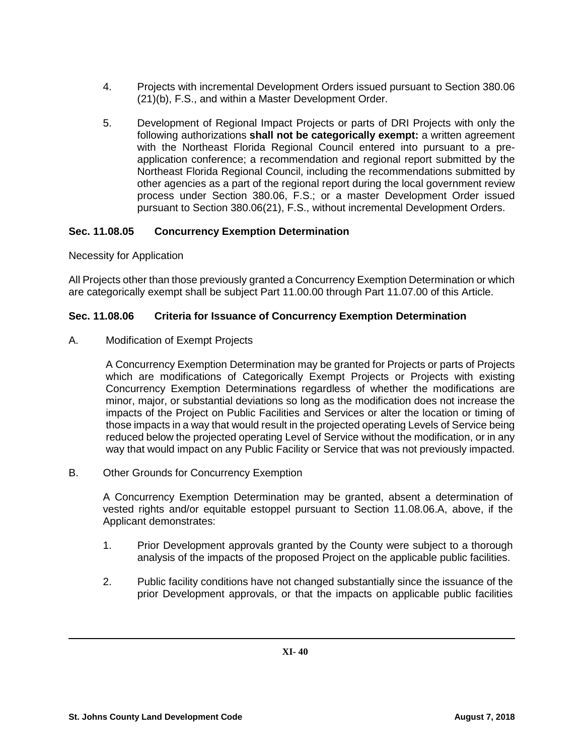- 4. Projects with incremental Development Orders issued pursuant to Section 380.06 (21)(b), F.S., and within a Master Development Order.
- 5. Development of Regional Impact Projects or parts of DRI Projects with only the following authorizations **shall not be categorically exempt:** a written agreement with the Northeast Florida Regional Council entered into pursuant to a preapplication conference; a recommendation and regional report submitted by the Northeast Florida Regional Council, including the recommendations submitted by other agencies as a part of the regional report during the local government review process under Section 380.06, F.S.; or a master Development Order issued pursuant to Section 380.06(21), F.S., without incremental Development Orders.

# **Sec. 11.08.05 Concurrency Exemption Determination**

## Necessity for Application

All Projects other than those previously granted a Concurrency Exemption Determination or which are categorically exempt shall be subject Part 11.00.00 through Part 11.07.00 of this Article.

## **Sec. 11.08.06 Criteria for Issuance of Concurrency Exemption Determination**

A. Modification of Exempt Projects

A Concurrency Exemption Determination may be granted for Projects or parts of Projects which are modifications of Categorically Exempt Projects or Projects with existing Concurrency Exemption Determinations regardless of whether the modifications are minor, major, or substantial deviations so long as the modification does not increase the impacts of the Project on Public Facilities and Services or alter the location or timing of those impacts in a way that would result in the projected operating Levels of Service being reduced below the projected operating Level of Service without the modification, or in any way that would impact on any Public Facility or Service that was not previously impacted.

B. Other Grounds for Concurrency Exemption

A Concurrency Exemption Determination may be granted, absent a determination of vested rights and/or equitable estoppel pursuant to Section 11.08.06.A, above, if the Applicant demonstrates:

- 1. Prior Development approvals granted by the County were subject to a thorough analysis of the impacts of the proposed Project on the applicable public facilities.
- 2. Public facility conditions have not changed substantially since the issuance of the prior Development approvals, or that the impacts on applicable public facilities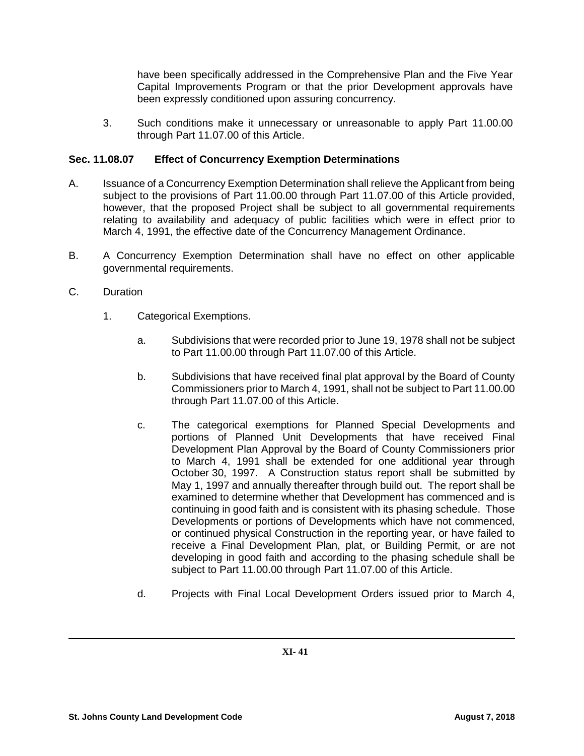have been specifically addressed in the Comprehensive Plan and the Five Year Capital Improvements Program or that the prior Development approvals have been expressly conditioned upon assuring concurrency.

3. Such conditions make it unnecessary or unreasonable to apply Part 11.00.00 through Part 11.07.00 of this Article.

## **Sec. 11.08.07 Effect of Concurrency Exemption Determinations**

- A. Issuance of a Concurrency Exemption Determination shall relieve the Applicant from being subject to the provisions of Part 11.00.00 through Part 11.07.00 of this Article provided, however, that the proposed Project shall be subject to all governmental requirements relating to availability and adequacy of public facilities which were in effect prior to March 4, 1991, the effective date of the Concurrency Management Ordinance.
- B. A Concurrency Exemption Determination shall have no effect on other applicable governmental requirements.
- C. Duration
	- 1. Categorical Exemptions.
		- a. Subdivisions that were recorded prior to June 19, 1978 shall not be subject to Part 11.00.00 through Part 11.07.00 of this Article.
		- b. Subdivisions that have received final plat approval by the Board of County Commissioners prior to March 4, 1991, shall not be subject to Part 11.00.00 through Part 11.07.00 of this Article.
		- c. The categorical exemptions for Planned Special Developments and portions of Planned Unit Developments that have received Final Development Plan Approval by the Board of County Commissioners prior to March 4, 1991 shall be extended for one additional year through October 30, 1997. A Construction status report shall be submitted by May 1, 1997 and annually thereafter through build out. The report shall be examined to determine whether that Development has commenced and is continuing in good faith and is consistent with its phasing schedule. Those Developments or portions of Developments which have not commenced, or continued physical Construction in the reporting year, or have failed to receive a Final Development Plan, plat, or Building Permit, or are not developing in good faith and according to the phasing schedule shall be subject to Part 11.00.00 through Part 11.07.00 of this Article.
		- d. Projects with Final Local Development Orders issued prior to March 4,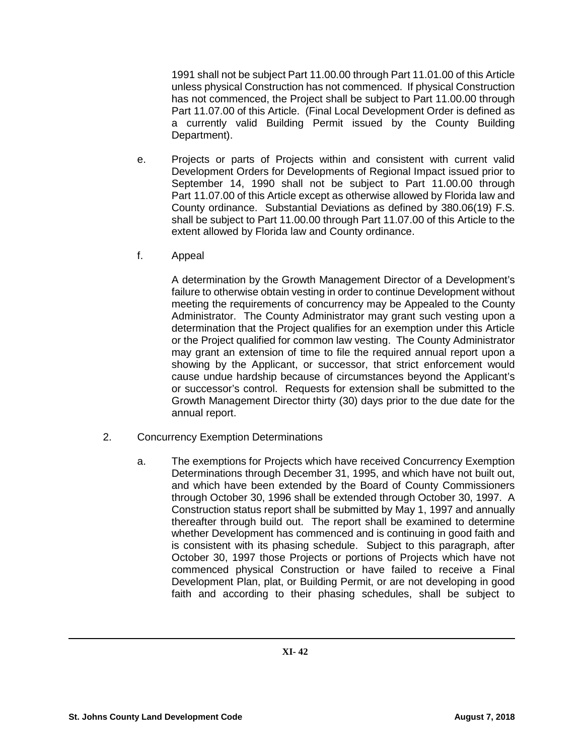1991 shall not be subject Part 11.00.00 through Part 11.01.00 of this Article unless physical Construction has not commenced. If physical Construction has not commenced, the Project shall be subject to Part 11.00.00 through Part 11.07.00 of this Article. (Final Local Development Order is defined as a currently valid Building Permit issued by the County Building Department).

- e. Projects or parts of Projects within and consistent with current valid Development Orders for Developments of Regional Impact issued prior to September 14, 1990 shall not be subject to Part 11.00.00 through Part 11.07.00 of this Article except as otherwise allowed by Florida law and County ordinance. Substantial Deviations as defined by 380.06(19) F.S. shall be subject to Part 11.00.00 through Part 11.07.00 of this Article to the extent allowed by Florida law and County ordinance.
- f. Appeal

A determination by the Growth Management Director of a Development's failure to otherwise obtain vesting in order to continue Development without meeting the requirements of concurrency may be Appealed to the County Administrator. The County Administrator may grant such vesting upon a determination that the Project qualifies for an exemption under this Article or the Project qualified for common law vesting. The County Administrator may grant an extension of time to file the required annual report upon a showing by the Applicant, or successor, that strict enforcement would cause undue hardship because of circumstances beyond the Applicant's or successor's control. Requests for extension shall be submitted to the Growth Management Director thirty (30) days prior to the due date for the annual report.

- 2. Concurrency Exemption Determinations
	- a. The exemptions for Projects which have received Concurrency Exemption Determinations through December 31, 1995, and which have not built out, and which have been extended by the Board of County Commissioners through October 30, 1996 shall be extended through October 30, 1997. A Construction status report shall be submitted by May 1, 1997 and annually thereafter through build out. The report shall be examined to determine whether Development has commenced and is continuing in good faith and is consistent with its phasing schedule. Subject to this paragraph, after October 30, 1997 those Projects or portions of Projects which have not commenced physical Construction or have failed to receive a Final Development Plan, plat, or Building Permit, or are not developing in good faith and according to their phasing schedules, shall be subject to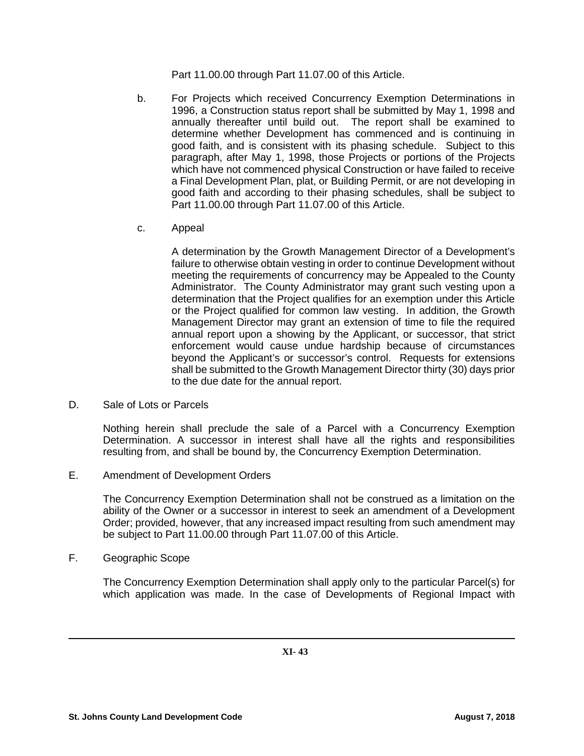Part 11.00.00 through Part 11.07.00 of this Article.

- b. For Projects which received Concurrency Exemption Determinations in 1996, a Construction status report shall be submitted by May 1, 1998 and annually thereafter until build out. The report shall be examined to determine whether Development has commenced and is continuing in good faith, and is consistent with its phasing schedule. Subject to this paragraph, after May 1, 1998, those Projects or portions of the Projects which have not commenced physical Construction or have failed to receive a Final Development Plan, plat, or Building Permit, or are not developing in good faith and according to their phasing schedules, shall be subject to Part 11.00.00 through Part 11.07.00 of this Article.
- c. Appeal

A determination by the Growth Management Director of a Development's failure to otherwise obtain vesting in order to continue Development without meeting the requirements of concurrency may be Appealed to the County Administrator. The County Administrator may grant such vesting upon a determination that the Project qualifies for an exemption under this Article or the Project qualified for common law vesting. In addition, the Growth Management Director may grant an extension of time to file the required annual report upon a showing by the Applicant, or successor, that strict enforcement would cause undue hardship because of circumstances beyond the Applicant's or successor's control. Requests for extensions shall be submitted to the Growth Management Director thirty (30) days prior to the due date for the annual report.

D. Sale of Lots or Parcels

Nothing herein shall preclude the sale of a Parcel with a Concurrency Exemption Determination. A successor in interest shall have all the rights and responsibilities resulting from, and shall be bound by, the Concurrency Exemption Determination.

E. Amendment of Development Orders

The Concurrency Exemption Determination shall not be construed as a limitation on the ability of the Owner or a successor in interest to seek an amendment of a Development Order; provided, however, that any increased impact resulting from such amendment may be subject to Part 11.00.00 through Part 11.07.00 of this Article.

F. Geographic Scope

The Concurrency Exemption Determination shall apply only to the particular Parcel(s) for which application was made. In the case of Developments of Regional Impact with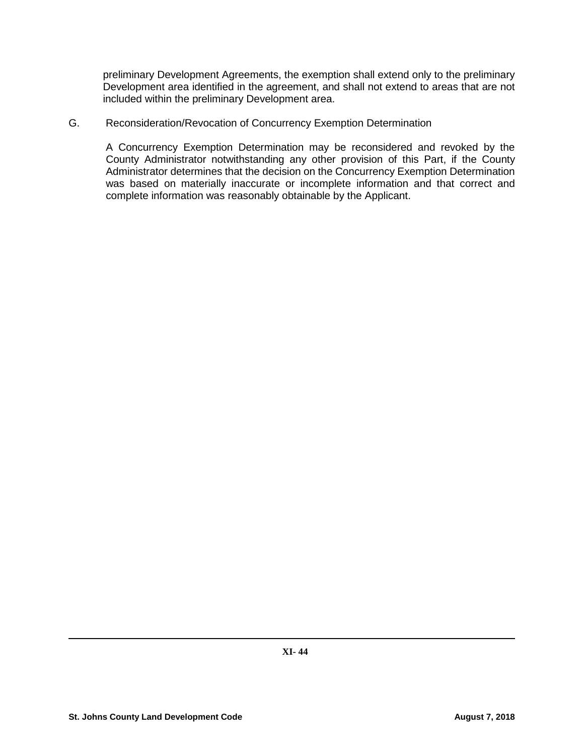preliminary Development Agreements, the exemption shall extend only to the preliminary Development area identified in the agreement, and shall not extend to areas that are not included within the preliminary Development area.

#### G. Reconsideration/Revocation of Concurrency Exemption Determination

A Concurrency Exemption Determination may be reconsidered and revoked by the County Administrator notwithstanding any other provision of this Part, if the County Administrator determines that the decision on the Concurrency Exemption Determination was based on materially inaccurate or incomplete information and that correct and complete information was reasonably obtainable by the Applicant.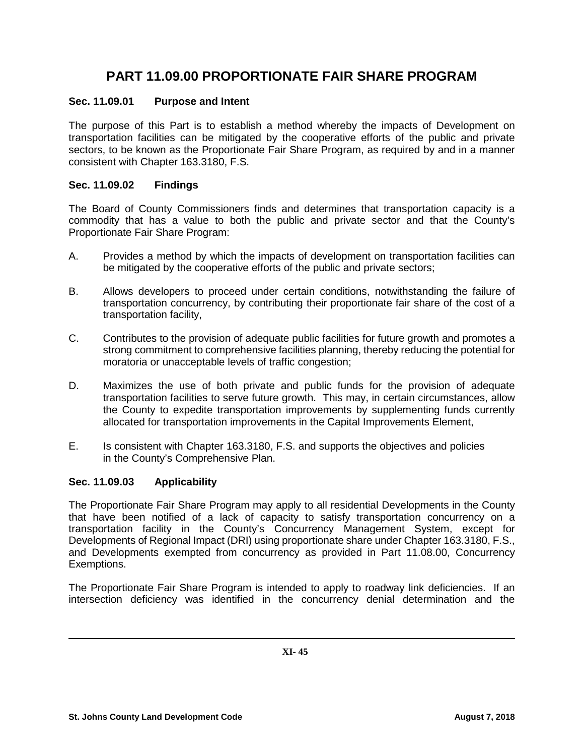# **PART 11.09.00 PROPORTIONATE FAIR SHARE PROGRAM**

## **Sec. 11.09.01 Purpose and Intent**

The purpose of this Part is to establish a method whereby the impacts of Development on transportation facilities can be mitigated by the cooperative efforts of the public and private sectors, to be known as the Proportionate Fair Share Program, as required by and in a manner consistent with Chapter 163.3180, F.S.

### **Sec. 11.09.02 Findings**

The Board of County Commissioners finds and determines that transportation capacity is a commodity that has a value to both the public and private sector and that the County's Proportionate Fair Share Program:

- A. Provides a method by which the impacts of development on transportation facilities can be mitigated by the cooperative efforts of the public and private sectors;
- B. Allows developers to proceed under certain conditions, notwithstanding the failure of transportation concurrency, by contributing their proportionate fair share of the cost of a transportation facility,
- C. Contributes to the provision of adequate public facilities for future growth and promotes a strong commitment to comprehensive facilities planning, thereby reducing the potential for moratoria or unacceptable levels of traffic congestion;
- D. Maximizes the use of both private and public funds for the provision of adequate transportation facilities to serve future growth. This may, in certain circumstances, allow the County to expedite transportation improvements by supplementing funds currently allocated for transportation improvements in the Capital Improvements Element,
- E. Is consistent with Chapter 163.3180, F.S. and supports the objectives and policies in the County's Comprehensive Plan.

#### **Sec. 11.09.03 Applicability**

The Proportionate Fair Share Program may apply to all residential Developments in the County that have been notified of a lack of capacity to satisfy transportation concurrency on a transportation facility in the County's Concurrency Management System, except for Developments of Regional Impact (DRI) using proportionate share under Chapter 163.3180, F.S., and Developments exempted from concurrency as provided in Part 11.08.00, Concurrency Exemptions.

The Proportionate Fair Share Program is intended to apply to roadway link deficiencies. If an intersection deficiency was identified in the concurrency denial determination and the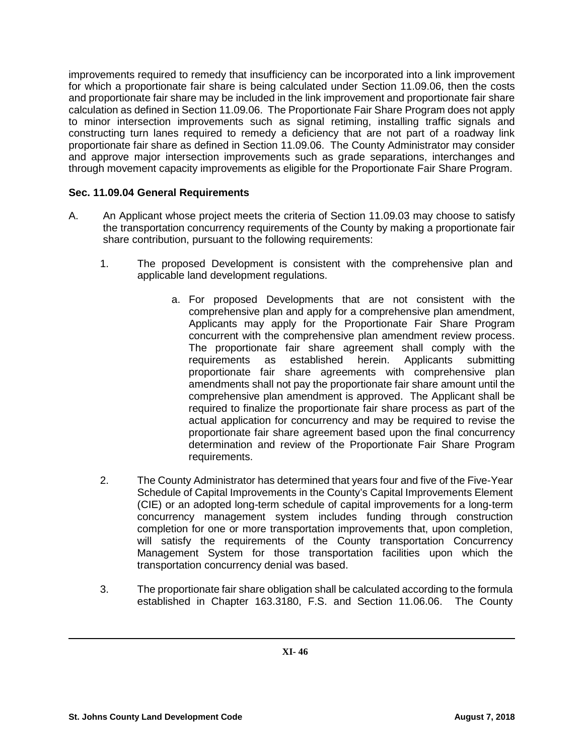improvements required to remedy that insufficiency can be incorporated into a link improvement for which a proportionate fair share is being calculated under Section 11.09.06, then the costs and proportionate fair share may be included in the link improvement and proportionate fair share calculation as defined in Section 11.09.06. The Proportionate Fair Share Program does not apply to minor intersection improvements such as signal retiming, installing traffic signals and constructing turn lanes required to remedy a deficiency that are not part of a roadway link proportionate fair share as defined in Section 11.09.06. The County Administrator may consider and approve major intersection improvements such as grade separations, interchanges and through movement capacity improvements as eligible for the Proportionate Fair Share Program.

## **Sec. 11.09.04 General Requirements**

- A. An Applicant whose project meets the criteria of Section 11.09.03 may choose to satisfy the transportation concurrency requirements of the County by making a proportionate fair share contribution, pursuant to the following requirements:
	- 1. The proposed Development is consistent with the comprehensive plan and applicable land development regulations.
		- a. For proposed Developments that are not consistent with the comprehensive plan and apply for a comprehensive plan amendment, Applicants may apply for the Proportionate Fair Share Program concurrent with the comprehensive plan amendment review process. The proportionate fair share agreement shall comply with the requirements as established herein. Applicants submitting proportionate fair share agreements with comprehensive plan amendments shall not pay the proportionate fair share amount until the comprehensive plan amendment is approved. The Applicant shall be required to finalize the proportionate fair share process as part of the actual application for concurrency and may be required to revise the proportionate fair share agreement based upon the final concurrency determination and review of the Proportionate Fair Share Program requirements.
	- 2. The County Administrator has determined that years four and five of the Five-Year Schedule of Capital Improvements in the County's Capital Improvements Element (CIE) or an adopted long-term schedule of capital improvements for a long-term concurrency management system includes funding through construction completion for one or more transportation improvements that, upon completion, will satisfy the requirements of the County transportation Concurrency Management System for those transportation facilities upon which the transportation concurrency denial was based.
	- 3. The proportionate fair share obligation shall be calculated according to the formula established in Chapter 163.3180, F.S. and Section 11.06.06. The County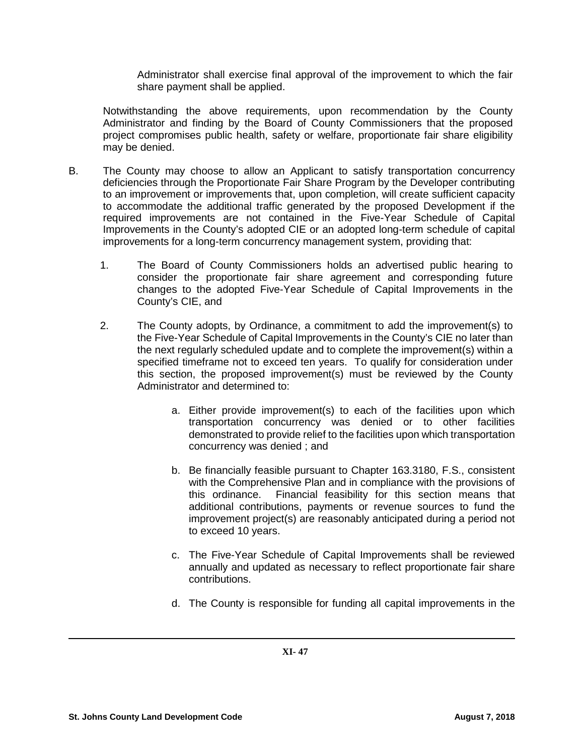Administrator shall exercise final approval of the improvement to which the fair share payment shall be applied.

Notwithstanding the above requirements, upon recommendation by the County Administrator and finding by the Board of County Commissioners that the proposed project compromises public health, safety or welfare, proportionate fair share eligibility may be denied.

- B. The County may choose to allow an Applicant to satisfy transportation concurrency deficiencies through the Proportionate Fair Share Program by the Developer contributing to an improvement or improvements that, upon completion, will create sufficient capacity to accommodate the additional traffic generated by the proposed Development if the required improvements are not contained in the Five-Year Schedule of Capital Improvements in the County's adopted CIE or an adopted long-term schedule of capital improvements for a long-term concurrency management system, providing that:
	- 1. The Board of County Commissioners holds an advertised public hearing to consider the proportionate fair share agreement and corresponding future changes to the adopted Five-Year Schedule of Capital Improvements in the County's CIE, and
	- 2. The County adopts, by Ordinance, a commitment to add the improvement(s) to the Five-Year Schedule of Capital Improvements in the County's CIE no later than the next regularly scheduled update and to complete the improvement(s) within a specified timeframe not to exceed ten years. To qualify for consideration under this section, the proposed improvement(s) must be reviewed by the County Administrator and determined to:
		- a. Either provide improvement(s) to each of the facilities upon which transportation concurrency was denied or to other facilities demonstrated to provide relief to the facilities upon which transportation concurrency was denied ; and
		- b. Be financially feasible pursuant to Chapter 163.3180, F.S., consistent with the Comprehensive Plan and in compliance with the provisions of this ordinance. Financial feasibility for this section means that additional contributions, payments or revenue sources to fund the improvement project(s) are reasonably anticipated during a period not to exceed 10 years.
		- c. The Five-Year Schedule of Capital Improvements shall be reviewed annually and updated as necessary to reflect proportionate fair share contributions.
		- d. The County is responsible for funding all capital improvements in the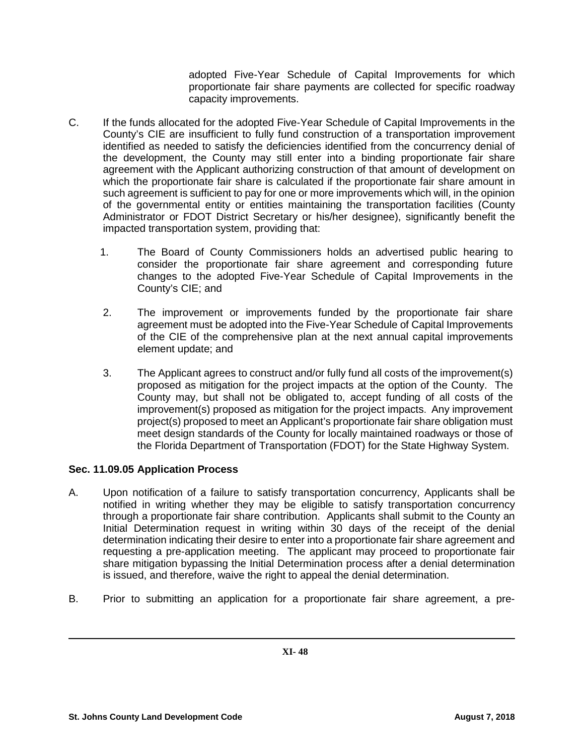adopted Five-Year Schedule of Capital Improvements for which proportionate fair share payments are collected for specific roadway capacity improvements.

- C. If the funds allocated for the adopted Five-Year Schedule of Capital Improvements in the County's CIE are insufficient to fully fund construction of a transportation improvement identified as needed to satisfy the deficiencies identified from the concurrency denial of the development, the County may still enter into a binding proportionate fair share agreement with the Applicant authorizing construction of that amount of development on which the proportionate fair share is calculated if the proportionate fair share amount in such agreement is sufficient to pay for one or more improvements which will, in the opinion of the governmental entity or entities maintaining the transportation facilities (County Administrator or FDOT District Secretary or his/her designee), significantly benefit the impacted transportation system, providing that:
	- 1. The Board of County Commissioners holds an advertised public hearing to consider the proportionate fair share agreement and corresponding future changes to the adopted Five-Year Schedule of Capital Improvements in the County's CIE; and
	- 2. The improvement or improvements funded by the proportionate fair share agreement must be adopted into the Five-Year Schedule of Capital Improvements of the CIE of the comprehensive plan at the next annual capital improvements element update; and
	- 3. The Applicant agrees to construct and/or fully fund all costs of the improvement(s) proposed as mitigation for the project impacts at the option of the County. The County may, but shall not be obligated to, accept funding of all costs of the improvement(s) proposed as mitigation for the project impacts. Any improvement project(s) proposed to meet an Applicant's proportionate fair share obligation must meet design standards of the County for locally maintained roadways or those of the Florida Department of Transportation (FDOT) for the State Highway System.

# **Sec. 11.09.05 Application Process**

- A. Upon notification of a failure to satisfy transportation concurrency, Applicants shall be notified in writing whether they may be eligible to satisfy transportation concurrency through a proportionate fair share contribution. Applicants shall submit to the County an Initial Determination request in writing within 30 days of the receipt of the denial determination indicating their desire to enter into a proportionate fair share agreement and requesting a pre-application meeting. The applicant may proceed to proportionate fair share mitigation bypassing the Initial Determination process after a denial determination is issued, and therefore, waive the right to appeal the denial determination.
- B. Prior to submitting an application for a proportionate fair share agreement, a pre-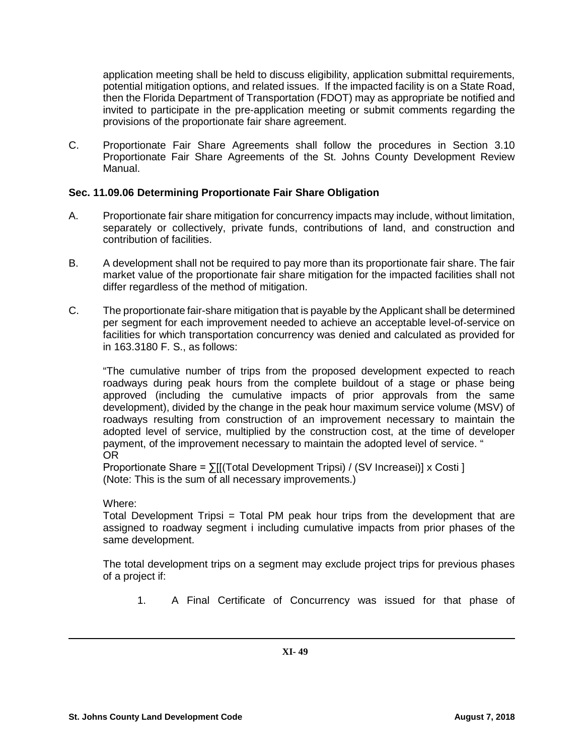application meeting shall be held to discuss eligibility, application submittal requirements, potential mitigation options, and related issues. If the impacted facility is on a State Road, then the Florida Department of Transportation (FDOT) may as appropriate be notified and invited to participate in the pre-application meeting or submit comments regarding the provisions of the proportionate fair share agreement.

C. Proportionate Fair Share Agreements shall follow the procedures in Section 3.10 Proportionate Fair Share Agreements of the St. Johns County Development Review Manual.

## **Sec. 11.09.06 Determining Proportionate Fair Share Obligation**

- A. Proportionate fair share mitigation for concurrency impacts may include, without limitation, separately or collectively, private funds, contributions of land, and construction and contribution of facilities.
- B. A development shall not be required to pay more than its proportionate fair share. The fair market value of the proportionate fair share mitigation for the impacted facilities shall not differ regardless of the method of mitigation.
- C. The proportionate fair-share mitigation that is payable by the Applicant shall be determined per segment for each improvement needed to achieve an acceptable level-of-service on facilities for which transportation concurrency was denied and calculated as provided for in 163.3180 F. S., as follows:

"The cumulative number of trips from the proposed development expected to reach roadways during peak hours from the complete buildout of a stage or phase being approved (including the cumulative impacts of prior approvals from the same development), divided by the change in the peak hour maximum service volume (MSV) of roadways resulting from construction of an improvement necessary to maintain the adopted level of service, multiplied by the construction cost, at the time of developer payment, of the improvement necessary to maintain the adopted level of service. " OR

Proportionate Share = ∑[[(Total Development Tripsi) / (SV Increasei)] x Costi ] (Note: This is the sum of all necessary improvements.)

#### Where:

Total Development Tripsi = Total PM peak hour trips from the development that are assigned to roadway segment i including cumulative impacts from prior phases of the same development.

The total development trips on a segment may exclude project trips for previous phases of a project if:

1. A Final Certificate of Concurrency was issued for that phase of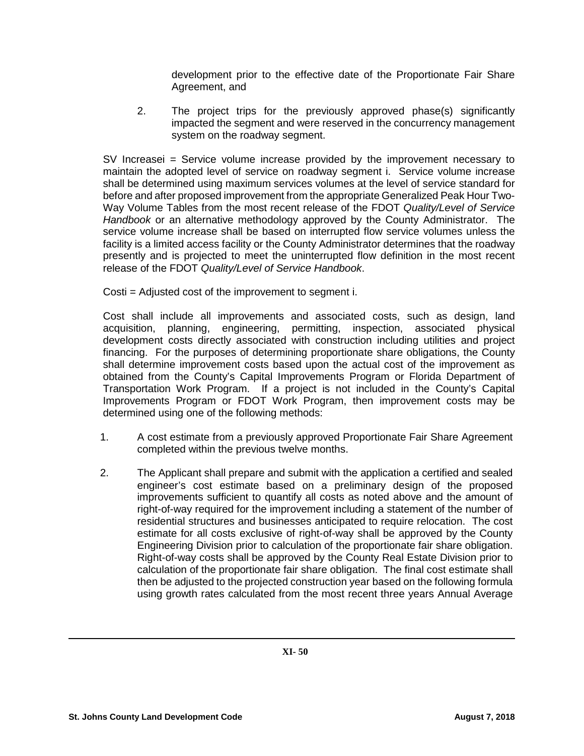development prior to the effective date of the Proportionate Fair Share Agreement, and

2. The project trips for the previously approved phase(s) significantly impacted the segment and were reserved in the concurrency management system on the roadway segment.

SV Increasei = Service volume increase provided by the improvement necessary to maintain the adopted level of service on roadway segment i. Service volume increase shall be determined using maximum services volumes at the level of service standard for before and after proposed improvement from the appropriate Generalized Peak Hour Two-Way Volume Tables from the most recent release of the FDOT *Quality/Level of Service Handbook* or an alternative methodology approved by the County Administrator. The service volume increase shall be based on interrupted flow service volumes unless the facility is a limited access facility or the County Administrator determines that the roadway presently and is projected to meet the uninterrupted flow definition in the most recent release of the FDOT *Quality/Level of Service Handbook*.

Costi = Adjusted cost of the improvement to segment i.

Cost shall include all improvements and associated costs, such as design, land acquisition, planning, engineering, permitting, inspection, associated physical development costs directly associated with construction including utilities and project financing. For the purposes of determining proportionate share obligations, the County shall determine improvement costs based upon the actual cost of the improvement as obtained from the County's Capital Improvements Program or Florida Department of Transportation Work Program. If a project is not included in the County's Capital Improvements Program or FDOT Work Program, then improvement costs may be determined using one of the following methods:

- 1. A cost estimate from a previously approved Proportionate Fair Share Agreement completed within the previous twelve months.
- 2. The Applicant shall prepare and submit with the application a certified and sealed engineer's cost estimate based on a preliminary design of the proposed improvements sufficient to quantify all costs as noted above and the amount of right-of-way required for the improvement including a statement of the number of residential structures and businesses anticipated to require relocation. The cost estimate for all costs exclusive of right-of-way shall be approved by the County Engineering Division prior to calculation of the proportionate fair share obligation. Right-of-way costs shall be approved by the County Real Estate Division prior to calculation of the proportionate fair share obligation. The final cost estimate shall then be adjusted to the projected construction year based on the following formula using growth rates calculated from the most recent three years Annual Average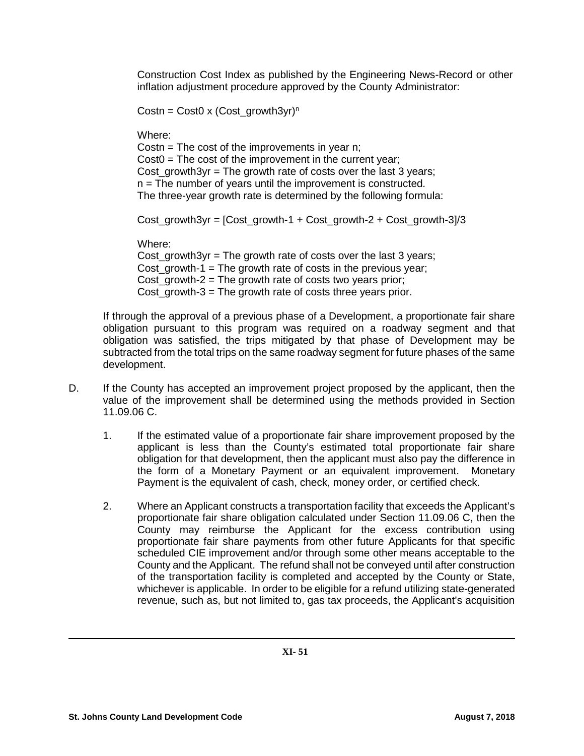Construction Cost Index as published by the Engineering News-Record or other inflation adjustment procedure approved by the County Administrator:

Costn = Cost0 x (Cost\_growth3yr)<sup>n</sup>

Where:

Costn  $=$  The cost of the improvements in year n;  $Cost0 = The cost of the improvement in the current year;$ Cost growth3yr = The growth rate of costs over the last 3 years; n = The number of years until the improvement is constructed. The three-year growth rate is determined by the following formula:

Cost\_growth3yr = [Cost\_growth-1 + Cost\_growth-2 + Cost\_growth-3]/3

Where:

Cost\_growth3yr = The growth rate of costs over the last 3 years; Cost\_growth-1 = The growth rate of costs in the previous year; Cost growth-2 = The growth rate of costs two years prior; Cost  $arrows - 3$  = The growth rate of costs three years prior.

If through the approval of a previous phase of a Development, a proportionate fair share obligation pursuant to this program was required on a roadway segment and that obligation was satisfied, the trips mitigated by that phase of Development may be subtracted from the total trips on the same roadway segment for future phases of the same development.

- D. If the County has accepted an improvement project proposed by the applicant, then the value of the improvement shall be determined using the methods provided in Section 11.09.06 C.
	- 1. If the estimated value of a proportionate fair share improvement proposed by the applicant is less than the County's estimated total proportionate fair share obligation for that development, then the applicant must also pay the difference in the form of a Monetary Payment or an equivalent improvement. Monetary Payment is the equivalent of cash, check, money order, or certified check.
	- 2. Where an Applicant constructs a transportation facility that exceeds the Applicant's proportionate fair share obligation calculated under Section 11.09.06 C, then the County may reimburse the Applicant for the excess contribution using proportionate fair share payments from other future Applicants for that specific scheduled CIE improvement and/or through some other means acceptable to the County and the Applicant. The refund shall not be conveyed until after construction of the transportation facility is completed and accepted by the County or State, whichever is applicable. In order to be eligible for a refund utilizing state-generated revenue, such as, but not limited to, gas tax proceeds, the Applicant's acquisition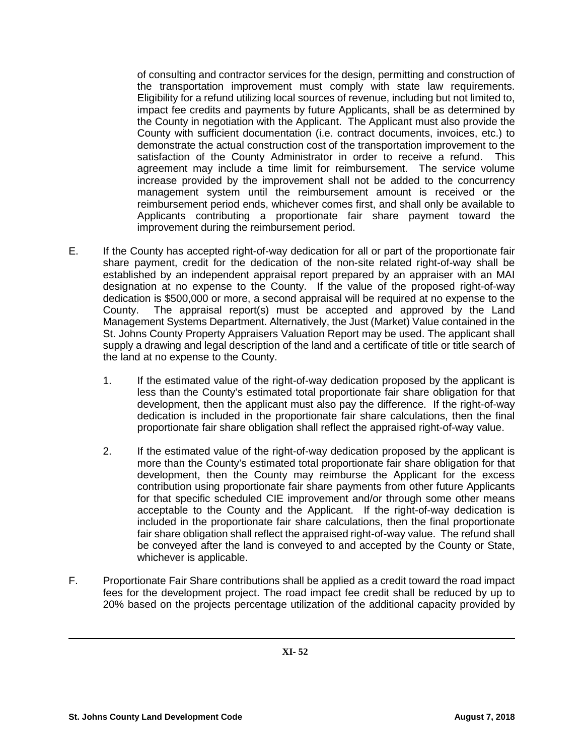of consulting and contractor services for the design, permitting and construction of the transportation improvement must comply with state law requirements. Eligibility for a refund utilizing local sources of revenue, including but not limited to, impact fee credits and payments by future Applicants, shall be as determined by the County in negotiation with the Applicant. The Applicant must also provide the County with sufficient documentation (i.e. contract documents, invoices, etc.) to demonstrate the actual construction cost of the transportation improvement to the satisfaction of the County Administrator in order to receive a refund. This agreement may include a time limit for reimbursement. The service volume increase provided by the improvement shall not be added to the concurrency management system until the reimbursement amount is received or the reimbursement period ends, whichever comes first, and shall only be available to Applicants contributing a proportionate fair share payment toward the improvement during the reimbursement period.

- E. If the County has accepted right-of-way dedication for all or part of the proportionate fair share payment, credit for the dedication of the non-site related right-of-way shall be established by an independent appraisal report prepared by an appraiser with an MAI designation at no expense to the County. If the value of the proposed right-of-way dedication is \$500,000 or more, a second appraisal will be required at no expense to the County. The appraisal report(s) must be accepted and approved by the Land Management Systems Department. Alternatively, the Just (Market) Value contained in the St. Johns County Property Appraisers Valuation Report may be used. The applicant shall supply a drawing and legal description of the land and a certificate of title or title search of the land at no expense to the County.
	- 1. If the estimated value of the right-of-way dedication proposed by the applicant is less than the County's estimated total proportionate fair share obligation for that development, then the applicant must also pay the difference. If the right-of-way dedication is included in the proportionate fair share calculations, then the final proportionate fair share obligation shall reflect the appraised right-of-way value.
	- 2. If the estimated value of the right-of-way dedication proposed by the applicant is more than the County's estimated total proportionate fair share obligation for that development, then the County may reimburse the Applicant for the excess contribution using proportionate fair share payments from other future Applicants for that specific scheduled CIE improvement and/or through some other means acceptable to the County and the Applicant. If the right-of-way dedication is included in the proportionate fair share calculations, then the final proportionate fair share obligation shall reflect the appraised right-of-way value. The refund shall be conveyed after the land is conveyed to and accepted by the County or State, whichever is applicable.
- F. Proportionate Fair Share contributions shall be applied as a credit toward the road impact fees for the development project. The road impact fee credit shall be reduced by up to 20% based on the projects percentage utilization of the additional capacity provided by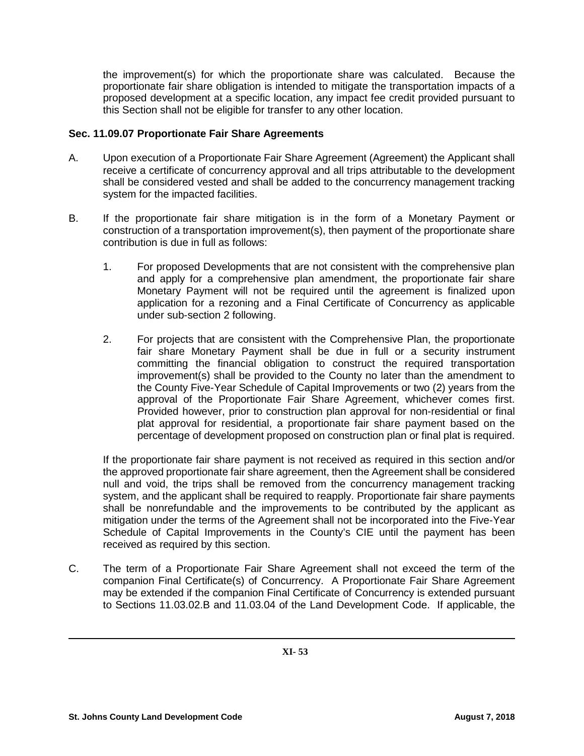the improvement(s) for which the proportionate share was calculated. Because the proportionate fair share obligation is intended to mitigate the transportation impacts of a proposed development at a specific location, any impact fee credit provided pursuant to this Section shall not be eligible for transfer to any other location.

## **Sec. 11.09.07 Proportionate Fair Share Agreements**

- A. Upon execution of a Proportionate Fair Share Agreement (Agreement) the Applicant shall receive a certificate of concurrency approval and all trips attributable to the development shall be considered vested and shall be added to the concurrency management tracking system for the impacted facilities.
- B. If the proportionate fair share mitigation is in the form of a Monetary Payment or construction of a transportation improvement(s), then payment of the proportionate share contribution is due in full as follows:
	- 1. For proposed Developments that are not consistent with the comprehensive plan and apply for a comprehensive plan amendment, the proportionate fair share Monetary Payment will not be required until the agreement is finalized upon application for a rezoning and a Final Certificate of Concurrency as applicable under sub-section 2 following.
	- 2. For projects that are consistent with the Comprehensive Plan, the proportionate fair share Monetary Payment shall be due in full or a security instrument committing the financial obligation to construct the required transportation improvement(s) shall be provided to the County no later than the amendment to the County Five-Year Schedule of Capital Improvements or two (2) years from the approval of the Proportionate Fair Share Agreement, whichever comes first. Provided however, prior to construction plan approval for non-residential or final plat approval for residential, a proportionate fair share payment based on the percentage of development proposed on construction plan or final plat is required.

If the proportionate fair share payment is not received as required in this section and/or the approved proportionate fair share agreement, then the Agreement shall be considered null and void, the trips shall be removed from the concurrency management tracking system, and the applicant shall be required to reapply. Proportionate fair share payments shall be nonrefundable and the improvements to be contributed by the applicant as mitigation under the terms of the Agreement shall not be incorporated into the Five-Year Schedule of Capital Improvements in the County's CIE until the payment has been received as required by this section.

C. The term of a Proportionate Fair Share Agreement shall not exceed the term of the companion Final Certificate(s) of Concurrency. A Proportionate Fair Share Agreement may be extended if the companion Final Certificate of Concurrency is extended pursuant to Sections 11.03.02.B and 11.03.04 of the Land Development Code. If applicable, the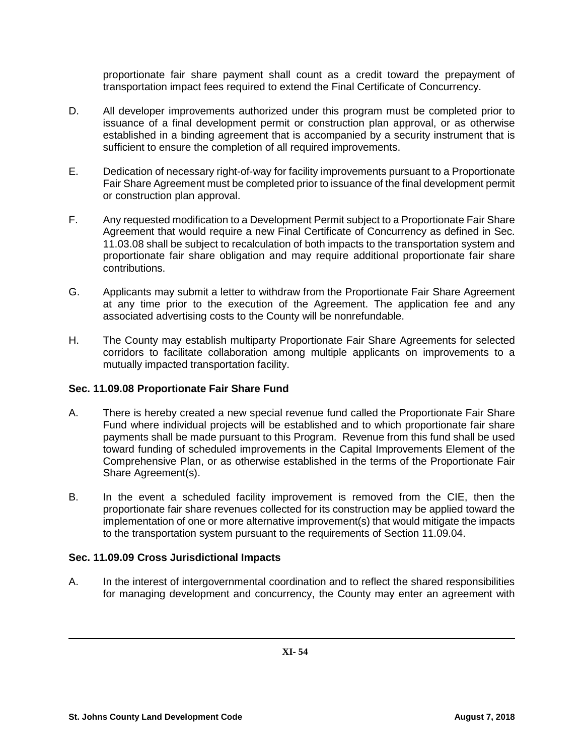proportionate fair share payment shall count as a credit toward the prepayment of transportation impact fees required to extend the Final Certificate of Concurrency.

- D. All developer improvements authorized under this program must be completed prior to issuance of a final development permit or construction plan approval, or as otherwise established in a binding agreement that is accompanied by a security instrument that is sufficient to ensure the completion of all required improvements.
- E. Dedication of necessary right-of-way for facility improvements pursuant to a Proportionate Fair Share Agreement must be completed prior to issuance of the final development permit or construction plan approval.
- F. Any requested modification to a Development Permit subject to a Proportionate Fair Share Agreement that would require a new Final Certificate of Concurrency as defined in Sec. 11.03.08 shall be subject to recalculation of both impacts to the transportation system and proportionate fair share obligation and may require additional proportionate fair share contributions.
- G. Applicants may submit a letter to withdraw from the Proportionate Fair Share Agreement at any time prior to the execution of the Agreement. The application fee and any associated advertising costs to the County will be nonrefundable.
- H. The County may establish multiparty Proportionate Fair Share Agreements for selected corridors to facilitate collaboration among multiple applicants on improvements to a mutually impacted transportation facility.

# **Sec. 11.09.08 Proportionate Fair Share Fund**

- A. There is hereby created a new special revenue fund called the Proportionate Fair Share Fund where individual projects will be established and to which proportionate fair share payments shall be made pursuant to this Program. Revenue from this fund shall be used toward funding of scheduled improvements in the Capital Improvements Element of the Comprehensive Plan, or as otherwise established in the terms of the Proportionate Fair Share Agreement(s).
- B. In the event a scheduled facility improvement is removed from the CIE, then the proportionate fair share revenues collected for its construction may be applied toward the implementation of one or more alternative improvement(s) that would mitigate the impacts to the transportation system pursuant to the requirements of Section 11.09.04.

# **Sec. 11.09.09 Cross Jurisdictional Impacts**

A. In the interest of intergovernmental coordination and to reflect the shared responsibilities for managing development and concurrency, the County may enter an agreement with